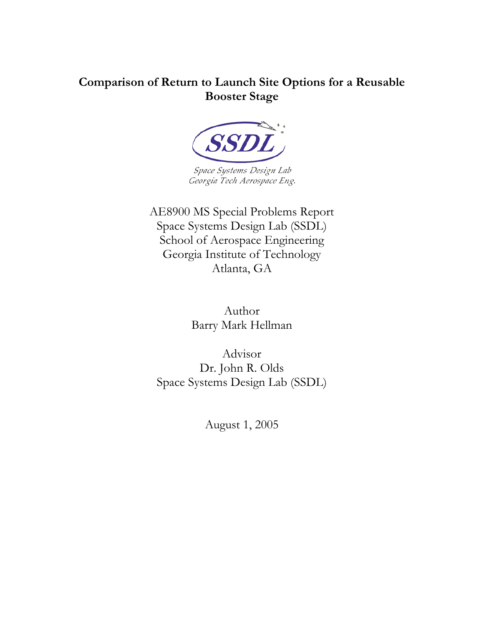### **Comparison of Return to Launch Site Options for a Reusable Booster Stage**



Space Systems Design Lab Georgia Tech Aerospace Eng.

AE8900 MS Special Problems Report Space Systems Design Lab (SSDL) School of Aerospace Engineering Georgia Institute of Technology Atlanta, GA

> Author Barry Mark Hellman

Advisor Dr. John R. Olds Space Systems Design Lab (SSDL)

August 1, 2005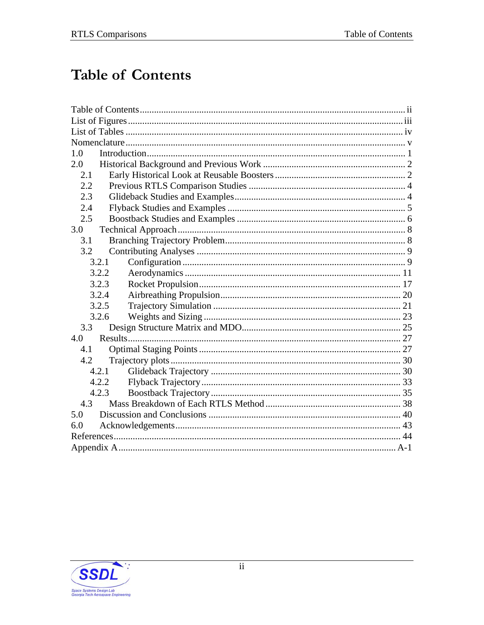# <span id="page-1-0"></span>**Table of Contents**

| 1.0   |
|-------|
| 2.0   |
| 2.1   |
| 2.2   |
| 2.3   |
| 2.4   |
| 2.5   |
| 3.0   |
| 3.1   |
| 3.2   |
| 3.2.1 |
| 3.2.2 |
| 3.2.3 |
| 3.2.4 |
| 3.2.5 |
| 3.2.6 |
| 3.3   |
| 4.0   |
| 4.1   |
| 4.2   |
| 4.2.1 |
| 4.2.2 |
| 4.2.3 |
| 4.3   |
| 5.0   |
| 6.0   |
|       |
|       |

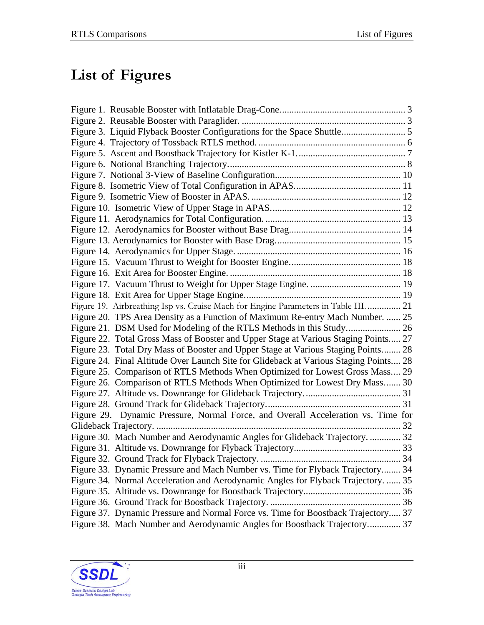# <span id="page-2-0"></span>**List of Figures**

| Figure 19. Airbreathing Isp vs. Cruise Mach for Engine Parameters in Table III.  21   |  |
|---------------------------------------------------------------------------------------|--|
| Figure 20. TPS Area Density as a Function of Maximum Re-entry Mach Number.  25        |  |
|                                                                                       |  |
| Figure 22. Total Gross Mass of Booster and Upper Stage at Various Staging Points 27   |  |
| Figure 23. Total Dry Mass of Booster and Upper Stage at Various Staging Points 28     |  |
| Figure 24. Final Altitude Over Launch Site for Glideback at Various Staging Points 28 |  |
| Figure 25. Comparison of RTLS Methods When Optimized for Lowest Gross Mass 29         |  |
| Figure 26. Comparison of RTLS Methods When Optimized for Lowest Dry Mass 30           |  |
|                                                                                       |  |
|                                                                                       |  |
| Figure 29. Dynamic Pressure, Normal Force, and Overall Acceleration vs. Time for      |  |
|                                                                                       |  |
| Figure 30. Mach Number and Aerodynamic Angles for Glideback Trajectory.  32           |  |
|                                                                                       |  |
|                                                                                       |  |
| Figure 33. Dynamic Pressure and Mach Number vs. Time for Flyback Trajectory 34        |  |
| Figure 34. Normal Acceleration and Aerodynamic Angles for Flyback Trajectory.  35     |  |
|                                                                                       |  |
|                                                                                       |  |
| Figure 37. Dynamic Pressure and Normal Force vs. Time for Boostback Trajectory 37     |  |
| Figure 38. Mach Number and Aerodynamic Angles for Boostback Trajectory 37             |  |

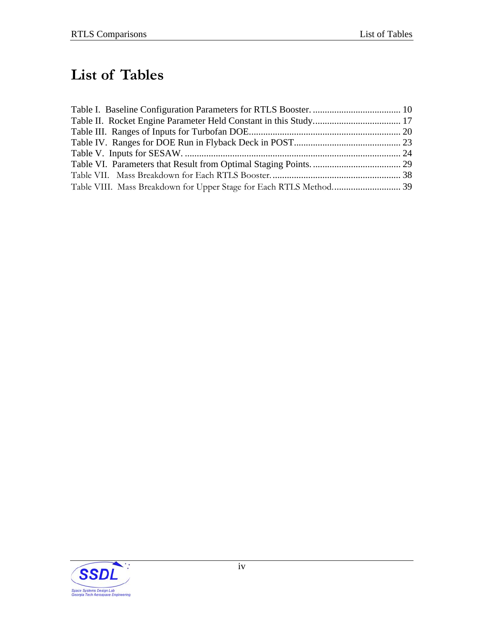# <span id="page-3-0"></span>**List of Tables**

| Table VIII. Mass Breakdown for Upper Stage for Each RTLS Method 39 |  |
|--------------------------------------------------------------------|--|

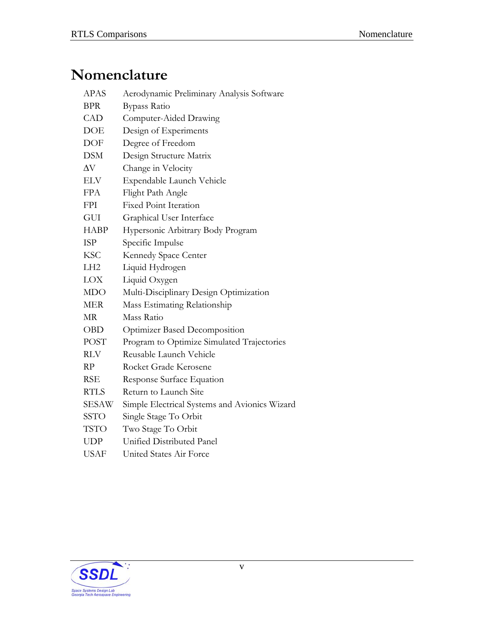# <span id="page-4-0"></span>**Nomenclature**

| <b>APAS</b>     | Aerodynamic Preliminary Analysis Software     |
|-----------------|-----------------------------------------------|
| <b>BPR</b>      | <b>Bypass Ratio</b>                           |
| <b>CAD</b>      | Computer-Aided Drawing                        |
| DOE             | Design of Experiments                         |
| DOF             | Degree of Freedom                             |
| <b>DSM</b>      | Design Structure Matrix                       |
| $\Delta \rm{V}$ | Change in Velocity                            |
| <b>ELV</b>      | Expendable Launch Vehicle                     |
| <b>FPA</b>      | Flight Path Angle                             |
| FPI             | <b>Fixed Point Iteration</b>                  |
| GUI             | Graphical User Interface                      |
| <b>HABP</b>     | Hypersonic Arbitrary Body Program             |
| <b>ISP</b>      | Specific Impulse                              |
| <b>KSC</b>      | Kennedy Space Center                          |
| LH <sub>2</sub> | Liquid Hydrogen                               |
| <b>LOX</b>      | Liquid Oxygen                                 |
| <b>MDO</b>      | Multi-Disciplinary Design Optimization        |
| <b>MER</b>      | Mass Estimating Relationship                  |
| МR              | Mass Ratio                                    |
| OBD             | Optimizer Based Decomposition                 |
| <b>POST</b>     | Program to Optimize Simulated Trajectories    |
| <b>RLV</b>      | Reusable Launch Vehicle                       |
| RP              | Rocket Grade Kerosene                         |
| <b>RSE</b>      | Response Surface Equation                     |
| <b>RTLS</b>     | Return to Launch Site                         |
| SESAW           | Simple Electrical Systems and Avionics Wizard |
| <b>SSTO</b>     | Single Stage To Orbit                         |
| <b>TSTO</b>     | Two Stage To Orbit                            |
| <b>UDP</b>      | Unified Distributed Panel                     |
| <b>USAF</b>     | United States Air Force                       |

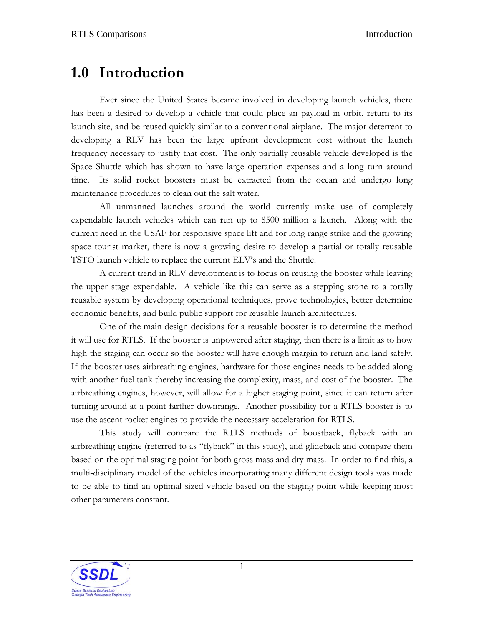## <span id="page-5-0"></span>**1.0 Introduction**

Ever since the United States became involved in developing launch vehicles, there has been a desired to develop a vehicle that could place an payload in orbit, return to its launch site, and be reused quickly similar to a conventional airplane. The major deterrent to developing a RLV has been the large upfront development cost without the launch frequency necessary to justify that cost. The only partially reusable vehicle developed is the Space Shuttle which has shown to have large operation expenses and a long turn around time. Its solid rocket boosters must be extracted from the ocean and undergo long maintenance procedures to clean out the salt water.

All unmanned launches around the world currently make use of completely expendable launch vehicles which can run up to \$500 million a launch. Along with the current need in the USAF for responsive space lift and for long range strike and the growing space tourist market, there is now a growing desire to develop a partial or totally reusable TSTO launch vehicle to replace the current ELV's and the Shuttle.

A current trend in RLV development is to focus on reusing the booster while leaving the upper stage expendable. A vehicle like this can serve as a stepping stone to a totally reusable system by developing operational techniques, prove technologies, better determine economic benefits, and build public support for reusable launch architectures.

One of the main design decisions for a reusable booster is to determine the method it will use for RTLS. If the booster is unpowered after staging, then there is a limit as to how high the staging can occur so the booster will have enough margin to return and land safely. If the booster uses airbreathing engines, hardware for those engines needs to be added along with another fuel tank thereby increasing the complexity, mass, and cost of the booster. The airbreathing engines, however, will allow for a higher staging point, since it can return after turning around at a point farther downrange. Another possibility for a RTLS booster is to use the ascent rocket engines to provide the necessary acceleration for RTLS.

This study will compare the RTLS methods of boostback, flyback with an airbreathing engine (referred to as "flyback" in this study), and glideback and compare them based on the optimal staging point for both gross mass and dry mass. In order to find this, a multi-disciplinary model of the vehicles incorporating many different design tools was made to be able to find an optimal sized vehicle based on the staging point while keeping most other parameters constant.

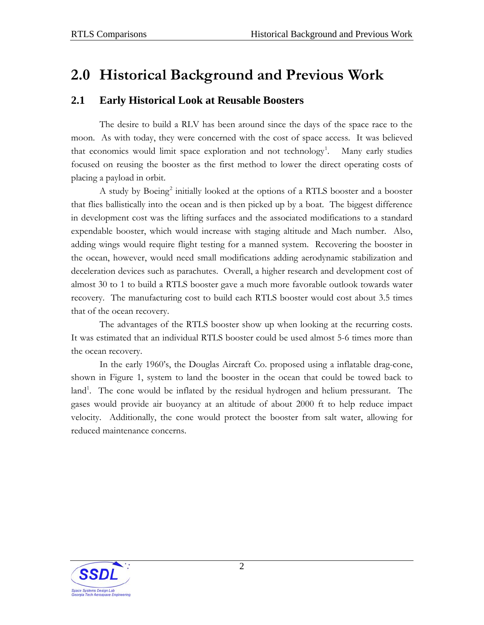## <span id="page-6-0"></span>**2.0 Historical Background and Previous Work**

### **2.1 Early Historical Look at Reusable Boosters**

The desire to build a RLV has been around since the days of the space race to the moon. As with today, they were concerned with the cost of space access. It was believed that economics would limit space exploration and not technology<sup>[1](#page--1-1)</sup>. . Many early studies focused on reusing the booster as the first method to lower the direct operating costs of placing a payload in orbit.

A study by Boeing<sup>[2](#page--1-2)</sup> initially looked at the options of a RTLS booster and a booster that flies ballistically into the ocean and is then picked up by a boat. The biggest difference in development cost was the lifting surfaces and the associated modifications to a standard expendable booster, which would increase with staging altitude and Mach number. Also, adding wings would require flight testing for a manned system. Recovering the booster in the ocean, however, would need small modifications adding aerodynamic stabilization and deceleration devices such as parachutes. Overall, a higher research and development cost of almost 30 to 1 to build a RTLS booster gave a much more favorable outlook towards water recovery. The manufacturing cost to build each RTLS booster would cost about 3.5 times that of the ocean recovery.

The advantages of the RTLS booster show up when looking at the recurring costs. It was estimated that an individual RTLS booster could be used almost 5-6 times more than the ocean recovery.

In the early 1960's, the Douglas Aircraft Co. proposed using a inflatable drag-cone, shown in [Figure 1,](#page-7-0) system to land the booster in the ocean that could be towed back to land<sup>[1](#page-6-0)</sup>. The cone would be inflated by the residual hydrogen and helium pressurant. The gases would provide air buoyancy at an altitude of about 2000 ft to help reduce impact velocity. Additionally, the cone would protect the booster from salt water, allowing for reduced maintenance concerns.

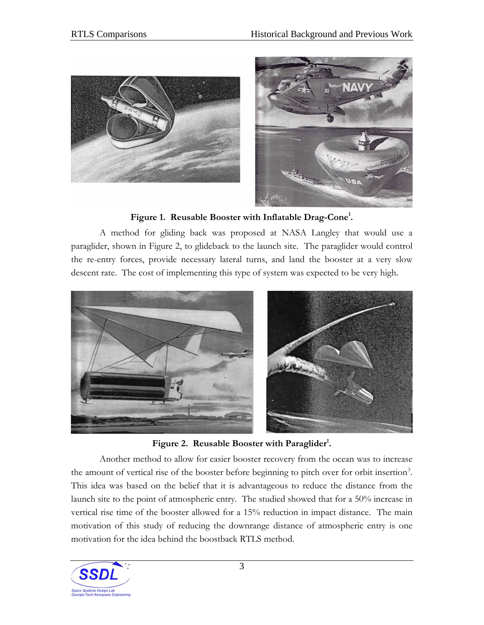<span id="page-7-0"></span>

**Figure 1. Reusable Booster with Inflatable Drag-Cone[1](#page-6-0) .** 

A method for gliding back was proposed at NASA Langley that would use a paraglider, shown in [Figure 2,](#page-7-0) to glideback to the launch site. The paraglider would control the re-entry forces, provide necessary lateral turns, and land the booster at a very slow descent rate. The cost of implementing this type of system was expected to be very high.



Figure 2. Reusable Booster with Paraglider<sup>1</sup>.

Another method to allow for easier booster recovery from the ocean was to increase the amount of vertical rise of the booster before beginning to pitch over for orbit insertion<sup>[3](#page--1-2)</sup>. This idea was based on the belief that it is advantageous to reduce the distance from the launch site to the point of atmospheric entry. The studied showed that for a 50% increase in vertical rise time of the booster allowed for a 15% reduction in impact distance. The main motivation of this study of reducing the downrange distance of atmospheric entry is one motivation for the idea behind the boostback RTLS method.

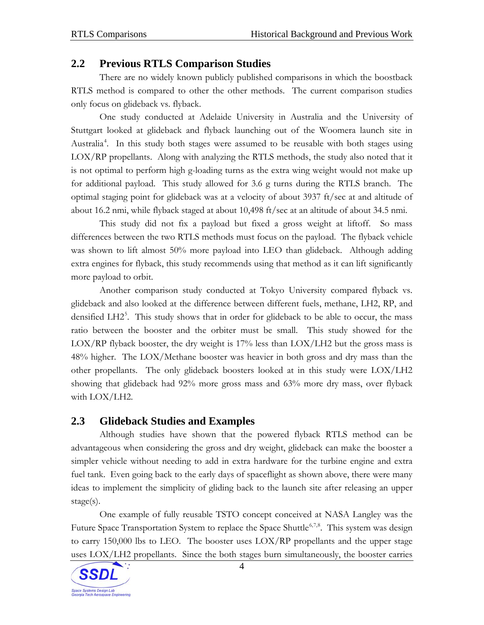### <span id="page-8-0"></span>**2.2 Previous RTLS Comparison Studies**

There are no widely known publicly published comparisons in which the boostback RTLS method is compared to other the other methods. The current comparison studies only focus on glideback vs. flyback.

One study conducted at Adelaide University in Australia and the University of Stuttgart looked at glideback and flyback launching out of the Woomera launch site in Australia<sup>[4](#page--1-2)</sup>. In this study both stages were assumed to be reusable with both stages using LOX/RP propellants. Along with analyzing the RTLS methods, the study also noted that it is not optimal to perform high g-loading turns as the extra wing weight would not make up for additional payload. This study allowed for 3.6 g turns during the RTLS branch. The optimal staging point for glideback was at a velocity of about 3937 ft/sec at and altitude of about 16.2 nmi, while flyback staged at about 10,498 ft/sec at an altitude of about 34.5 nmi.

This study did not fix a payload but fixed a gross weight at liftoff. So mass differences between the two RTLS methods must focus on the payload. The flyback vehicle was shown to lift almost 50% more payload into LEO than glideback. Although adding extra engines for flyback, this study recommends using that method as it can lift significantly more payload to orbit.

Another comparison study conducted at Tokyo University compared flyback vs. glideback and also looked at the difference between different fuels, methane, LH2, RP, and densified LH2<sup>[5](#page--1-2)</sup>. This study shows that in order for glideback to be able to occur, the mass ratio between the booster and the orbiter must be small. This study showed for the  $LOX/RP$  flyback booster, the dry weight is 17% less than  $LOX/LH2$  but the gross mass is 48% higher. The LOX/Methane booster was heavier in both gross and dry mass than the other propellants. The only glideback boosters looked at in this study were LOX/LH2 showing that glideback had 92% more gross mass and 63% more dry mass, over flyback with LOX/LH2.

### **2.3 Glideback Studies and Examples**

Although studies have shown that the powered flyback RTLS method can be advantageous when considering the gross and dry weight, glideback can make the booster a simpler vehicle without needing to add in extra hardware for the turbine engine and extra fuel tank. Even going back to the early days of spaceflight as shown above, there were many ideas to implement the simplicity of gliding back to the launch site after releasing an upper stage(s).

One example of fully reusable TSTO concept conceived at NASA Langley was the Future Space Transportation System to replace the Space Shuttle<sup>[6,7](#page--1-2),[8](#page--1-2)</sup>. This system was design to carry 150,000 lbs to LEO. The booster uses LOX/RP propellants and the upper stage uses LOX/LH2 propellants. Since the both stages burn simultaneously, the booster carries

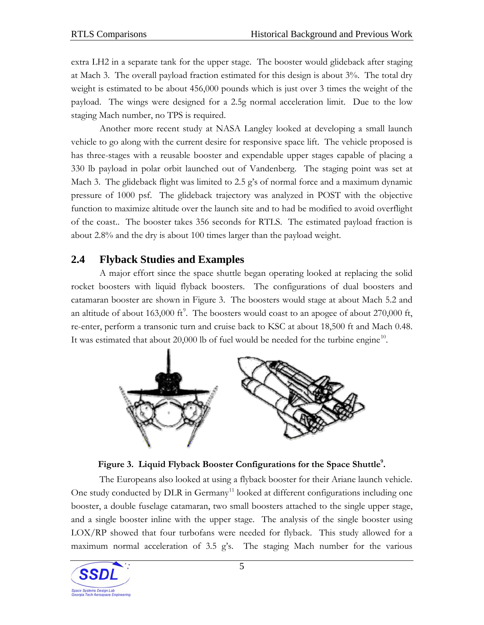<span id="page-9-0"></span>extra LH2 in a separate tank for the upper stage. The booster would glideback after staging at Mach 3. The overall payload fraction estimated for this design is about 3%. The total dry weight is estimated to be about 456,000 pounds which is just over 3 times the weight of the payload. The wings were designed for a 2.5g normal acceleration limit. Due to the low staging Mach number, no TPS is required.

Another more recent study at NASA Langley looked at developing a small launch vehicle to go along with the current desire for responsive space lift. The vehicle proposed is has three-stages with a reusable booster and expendable upper stages capable of placing a 330 lb payload in polar orbit launched out of Vandenberg. The staging point was set at Mach 3. The glideback flight was limited to 2.5 g's of normal force and a maximum dynamic pressure of 1000 psf. The glideback trajectory was analyzed in POST with the objective function to maximize altitude over the launch site and to had be modified to avoid overflight of the coast.. The booster takes 356 seconds for RTLS. The estimated payload fraction is about 2.8% and the dry is about 100 times larger than the payload weight.

### **2.4 Flyback Studies and Examples**

A major effort since the space shuttle began operating looked at replacing the solid rocket boosters with liquid flyback boosters. The configurations of dual boosters and catamaran booster are shown in [Figure 3.](#page-9-0) The boosters would stage at about Mach 5.2 and an altitude of about 163,000 ft<sup>[9](#page--1-2)</sup>. The boosters would coast to an apogee of about 270,000 ft, re-enter, perform a transonic turn and cruise back to KSC at about 18,500 ft and Mach 0.48. It was estimated that about 20,000 lb of fuel would be needed for the turbine engine<sup>[10](#page--1-2)</sup>.





The Europeans also looked at using a flyback booster for their Ariane launch vehicle. One study conducted by  $DLR$  in  $Germany$ <sup>[1](#page--1-2)1</sup> looked at different configurations including one booster, a double fuselage catamaran, two small boosters attached to the single upper stage, and a single booster inline with the upper stage. The analysis of the single booster using LOX/RP showed that four turbofans were needed for flyback. This study allowed for a maximum normal acceleration of 3.5 g's. The staging Mach number for the various

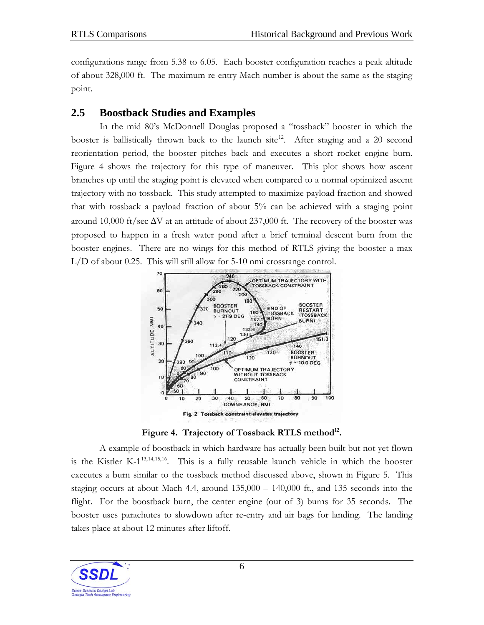<span id="page-10-0"></span>configurations range from 5.38 to 6.05. Each booster configuration reaches a peak altitude of about 328,000 ft. The maximum re-entry Mach number is about the same as the staging point.

### **2.5 Boostback Studies and Examples**

In the mid 80's McDonnell Douglas proposed a "tossback" booster in which the booster is ballistically thrown back to the launch site<sup>[12](#page--1-2)</sup>. After staging and a 20 second reorientation period, the booster pitches back and executes a short rocket engine burn. [Figure 4](#page-10-0) shows the trajectory for this type of maneuver. This plot shows how ascent branches up until the staging point is elevated when compared to a normal optimized ascent trajectory with no tossback. This study attempted to maximize payload fraction and showed that with tossback a payload fraction of about 5% can be achieved with a staging point around 10,000 ft/sec  $\Delta V$  at an attitude of about 237,000 ft. The recovery of the booster was proposed to happen in a fresh water pond after a brief terminal descent burn from the booster engines. There are no wings for this method of RTLS giving the booster a max L/D of about 0.25. This will still allow for 5-10 nmi crossrange control.



Figure 4. Trajectory of Tossback RTLS method<sup>12</sup>.

A example of boostback in which hardware has actually been built but not yet flown is the Kistler K- $1^{13,14,15,16}$  $1^{13,14,15,16}$  $1^{13,14,15,16}$  $1^{13,14,15,16}$  $1^{13,14,15,16}$  $1^{13,14,15,16}$  $1^{13,14,15,16}$  $1^{13,14,15,16}$  $1^{13,14,15,16}$ . This is a fully reusable launch vehicle in which the booster executes a burn similar to the tossback method discussed above, shown in [Figure 5.](#page-11-0) This staging occurs at about Mach 4.4, around 135,000 – 140,000 ft., and 135 seconds into the flight. For the boostback burn, the center engine (out of 3) burns for 35 seconds. The booster uses parachutes to slowdown after re-entry and air bags for landing. The landing takes place at about 12 minutes after liftoff.

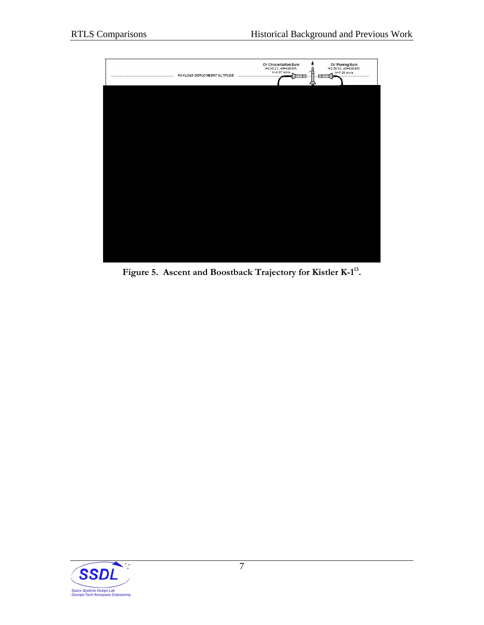<span id="page-11-0"></span>

**Figure 5. Ascent and Boostback Trajectory for Kistler K-1[13.](#page-10-0)** 

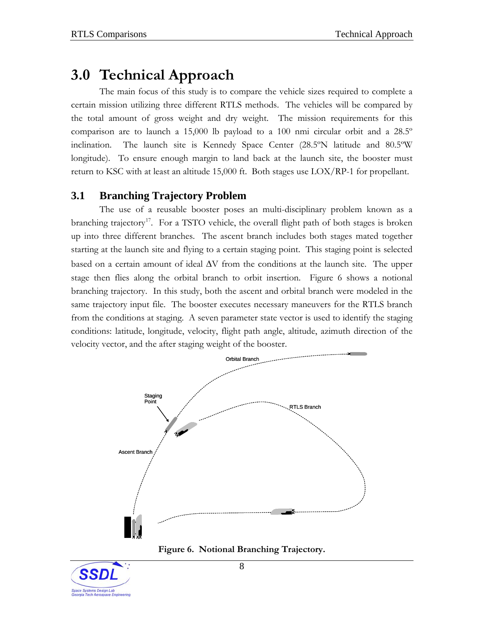## <span id="page-12-0"></span>**3.0 Technical Approach**

The main focus of this study is to compare the vehicle sizes required to complete a certain mission utilizing three different RTLS methods. The vehicles will be compared by the total amount of gross weight and dry weight. The mission requirements for this comparison are to launch a 15,000 lb payload to a 100 nmi circular orbit and a 28.5º inclination. The launch site is Kennedy Space Center (28.5ºN latitude and 80.5ºW longitude). To ensure enough margin to land back at the launch site, the booster must return to KSC with at least an altitude 15,000 ft. Both stages use LOX/RP-1 for propellant.

### **3.1 Branching Trajectory Problem**

The use of a reusable booster poses an multi-disciplinary problem known as a branching trajectory<sup>[17](#page--1-2)</sup>. For a TSTO vehicle, the overall flight path of both stages is broken up into three different branches. The ascent branch includes both stages mated together starting at the launch site and flying to a certain staging point. This staging point is selected based on a certain amount of ideal ΔV from the conditions at the launch site. The upper stage then flies along the orbital branch to orbit insertion. [Figure 6](#page-12-0) shows a notional branching trajectory. In this study, both the ascent and orbital branch were modeled in the same trajectory input file. The booster executes necessary maneuvers for the RTLS branch from the conditions at staging. A seven parameter state vector is used to identify the staging conditions: latitude, longitude, velocity, flight path angle, altitude, azimuth direction of the velocity vector, and the after staging weight of the booster.



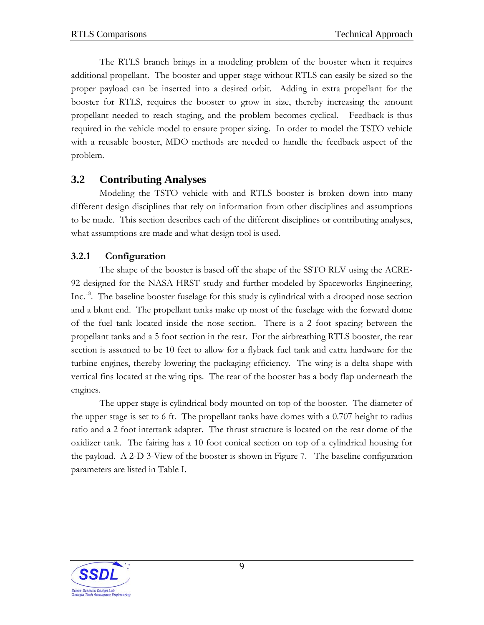<span id="page-13-0"></span>The RTLS branch brings in a modeling problem of the booster when it requires additional propellant. The booster and upper stage without RTLS can easily be sized so the proper payload can be inserted into a desired orbit. Adding in extra propellant for the booster for RTLS, requires the booster to grow in size, thereby increasing the amount propellant needed to reach staging, and the problem becomes cyclical. Feedback is thus required in the vehicle model to ensure proper sizing. In order to model the TSTO vehicle with a reusable booster, MDO methods are needed to handle the feedback aspect of the problem.

### **3.2 Contributing Analyses**

Modeling the TSTO vehicle with and RTLS booster is broken down into many different design disciplines that rely on information from other disciplines and assumptions to be made. This section describes each of the different disciplines or contributing analyses, what assumptions are made and what design tool is used.

### **3.2.1 Configuration**

The shape of the booster is based off the shape of the SSTO RLV using the ACRE-92 designed for the NASA HRST study and further modeled by Spaceworks Engineering, Inc.[18](#page--1-2). The baseline booster fuselage for this study is cylindrical with a drooped nose section and a blunt end. The propellant tanks make up most of the fuselage with the forward dome of the fuel tank located inside the nose section. There is a 2 foot spacing between the propellant tanks and a 5 foot section in the rear. For the airbreathing RTLS booster, the rear section is assumed to be 10 feet to allow for a flyback fuel tank and extra hardware for the turbine engines, thereby lowering the packaging efficiency. The wing is a delta shape with vertical fins located at the wing tips. The rear of the booster has a body flap underneath the engines.

The upper stage is cylindrical body mounted on top of the booster. The diameter of the upper stage is set to 6 ft. The propellant tanks have domes with a 0.707 height to radius ratio and a 2 foot intertank adapter. The thrust structure is located on the rear dome of the oxidizer tank. The fairing has a 10 foot conical section on top of a cylindrical housing for the payload. A 2-D 3-View of the booster is shown in [Figure 7.](#page-14-0) The baseline configuration parameters are listed in [Table I](#page-14-0).

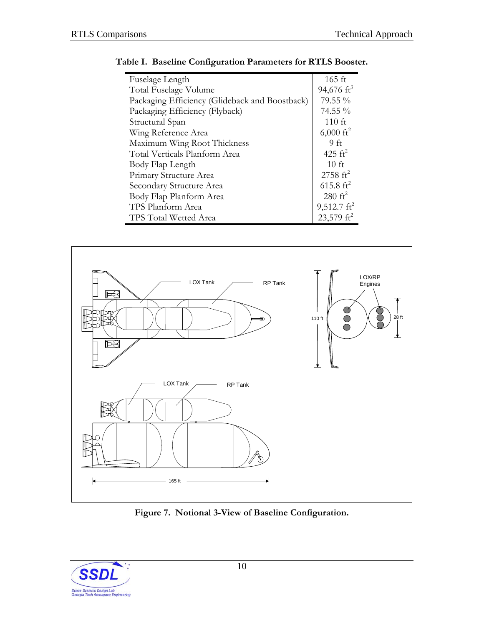| Fuselage Length                                | 165 ft                 |
|------------------------------------------------|------------------------|
| Total Fuselage Volume                          | 94,676 $\mathrm{ft}^3$ |
| Packaging Efficiency (Glideback and Boostback) | 79.55 %                |
| Packaging Efficiency (Flyback)                 | 74.55 %                |
| Structural Span                                | $110$ ft               |
| Wing Reference Area                            | $6,000 \text{ ft}^2$   |
| Maximum Wing Root Thickness                    | 9ft                    |
| Total Verticals Planform Area                  | 425 $\mathrm{ft}^2$    |
| Body Flap Length                               | 10 <sub>f</sub>        |
| Primary Structure Area                         | $2758 \text{ ft}^2$    |
| Secondary Structure Area                       | 615.8 $\rm{ft}^2$      |
| Body Flap Planform Area                        | $280 \text{ ft}^2$     |
| TPS Planform Area                              | $9,512.7 \text{ ft}^2$ |
| TPS Total Wetted Area                          | 23,579 $\mathrm{ft}^2$ |

<span id="page-14-0"></span>



**Figure 7. Notional 3-View of Baseline Configuration.** 

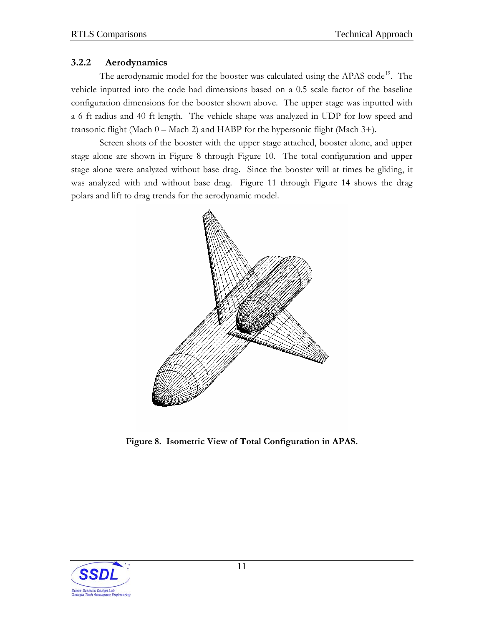#### <span id="page-15-0"></span>**3.2.2 Aerodynamics**

The aerodynamic model for the booster was calculated using the APAS code<sup>[19](#page--1-2)</sup>. The vehicle inputted into the code had dimensions based on a 0.5 scale factor of the baseline configuration dimensions for the booster shown above. The upper stage was inputted with a 6 ft radius and 40 ft length. The vehicle shape was analyzed in UDP for low speed and transonic flight (Mach  $0 -$  Mach 2) and HABP for the hypersonic flight (Mach  $3+$ ).

Screen shots of the booster with the upper stage attached, booster alone, and upper stage alone are shown in [Figure 8](#page-15-0) through [Figure 10](#page-16-0). The total configuration and upper stage alone were analyzed without base drag. Since the booster will at times be gliding, it was analyzed with and without base drag. [Figure 11](#page-17-0) through [Figure 14](#page-20-0) shows the drag polars and lift to drag trends for the aerodynamic model.



**Figure 8. Isometric View of Total Configuration in APAS.** 

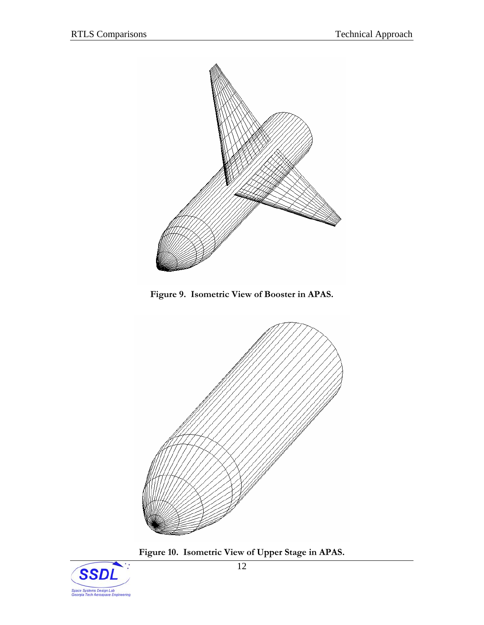<span id="page-16-0"></span>



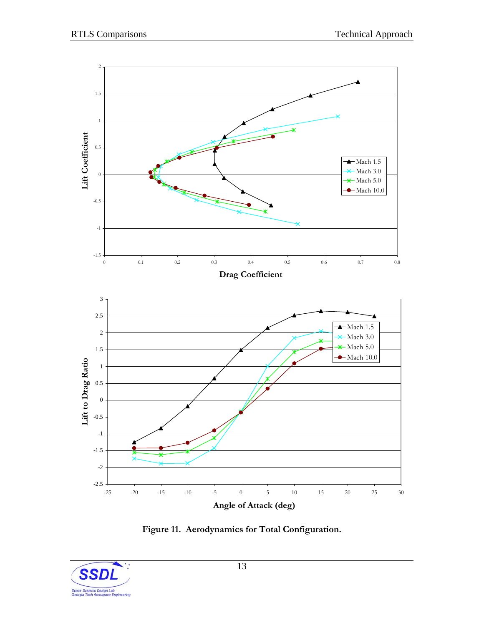<span id="page-17-0"></span>

**Figure 11. Aerodynamics for Total Configuration.** 

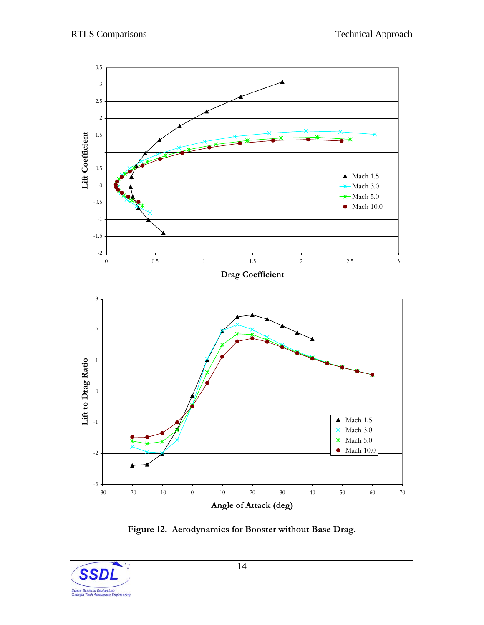<span id="page-18-0"></span>

**Figure 12. Aerodynamics for Booster without Base Drag.** 

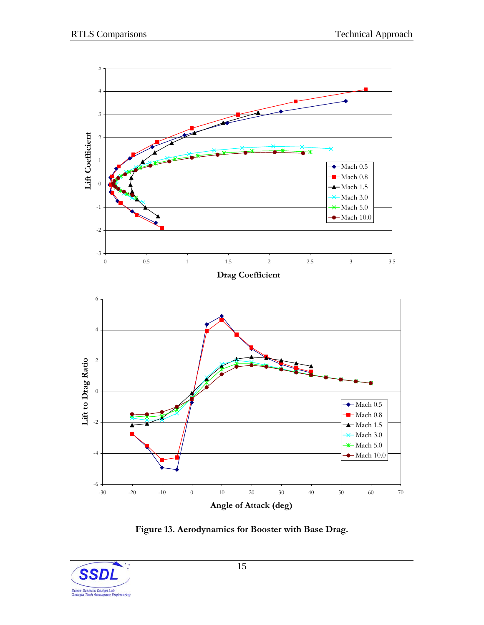<span id="page-19-0"></span>

**Figure 13. Aerodynamics for Booster with Base Drag.** 

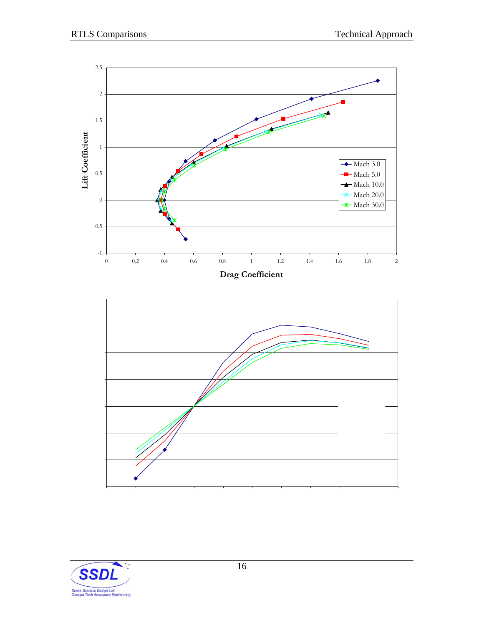<span id="page-20-0"></span>

-1.5 Mach 5.0 2720 3720- 1 -0.500.5 11.5 2-15-10 -5 0 5 10 15 20 25 30 35 Mach .720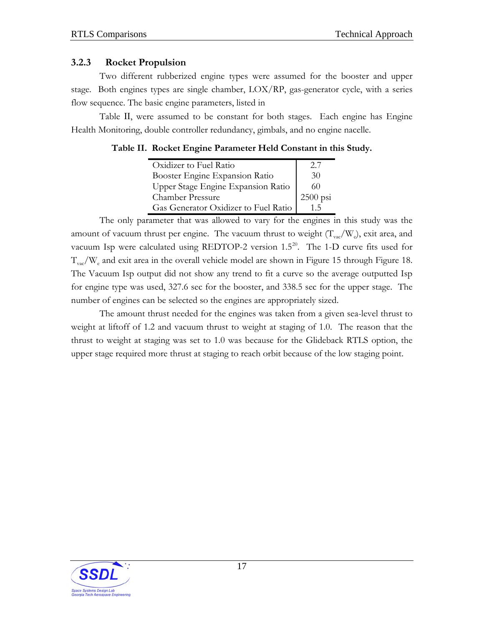#### <span id="page-21-0"></span>**3.2.3 Rocket Propulsion**

Two different rubberized engine types were assumed for the booster and upper stage. Both engines types are single chamber, LOX/RP, gas-generator cycle, with a series flow sequence. The basic engine parameters, listed in

[Table](#page-21-0) II, were assumed to be constant for both stages. Each engine has Engine Health Monitoring, double controller redundancy, gimbals, and no engine nacelle.

#### **Table II. Rocket Engine Parameter Held Constant in this Study.**

| Oxidizer to Fuel Ratio               | 2.1        |
|--------------------------------------|------------|
| Booster Engine Expansion Ratio       | 30         |
| Upper Stage Engine Expansion Ratio   | 60         |
| <b>Chamber Pressure</b>              | $2500$ psi |
| Gas Generator Oxidizer to Fuel Ratio | $1\,5$     |

The only parameter that was allowed to vary for the engines in this study was the amount of vacuum thrust per engine. The vacuum thrust to weight  $(T_{vac}/W_e)$ , exit area, and vacuum Isp were calculated using REDTOP-[2](#page--1-2) version  $1.5^{20}$ . The 1-D curve fits used for  $T_{\text{vac}}/W_e$  and exit area in the overall vehicle model are shown in [Figure 15](#page-22-0) through [Figure 18.](#page-23-0) The Vacuum Isp output did not show any trend to fit a curve so the average outputted Isp for engine type was used, 327.6 sec for the booster, and 338.5 sec for the upper stage. The number of engines can be selected so the engines are appropriately sized.

The amount thrust needed for the engines was taken from a given sea-level thrust to weight at liftoff of 1.2 and vacuum thrust to weight at staging of 1.0. The reason that the thrust to weight at staging was set to 1.0 was because for the Glideback RTLS option, the upper stage required more thrust at staging to reach orbit because of the low staging point.

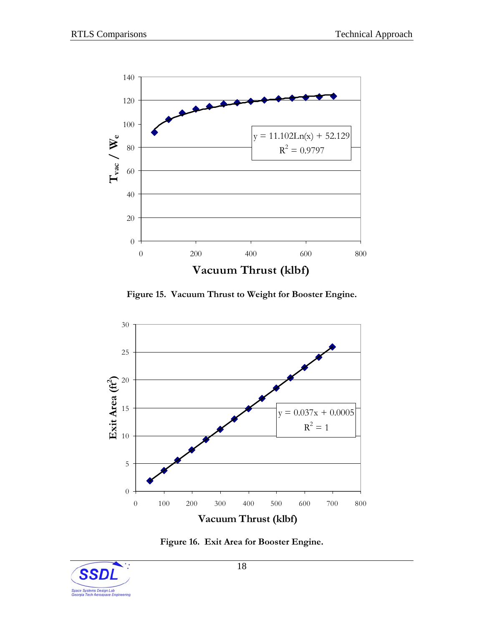<span id="page-22-0"></span>

**Figure 15. Vacuum Thrust to Weight for Booster Engine.** 



**Figure 16. Exit Area for Booster Engine.** 

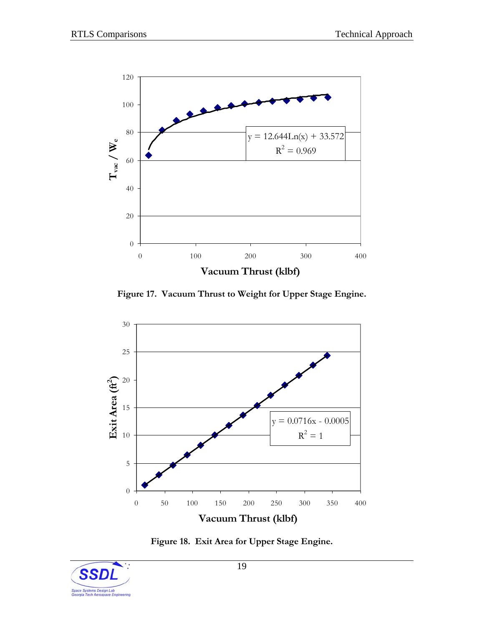<span id="page-23-0"></span>

**Figure 17. Vacuum Thrust to Weight for Upper Stage Engine.** 



**Figure 18. Exit Area for Upper Stage Engine.** 

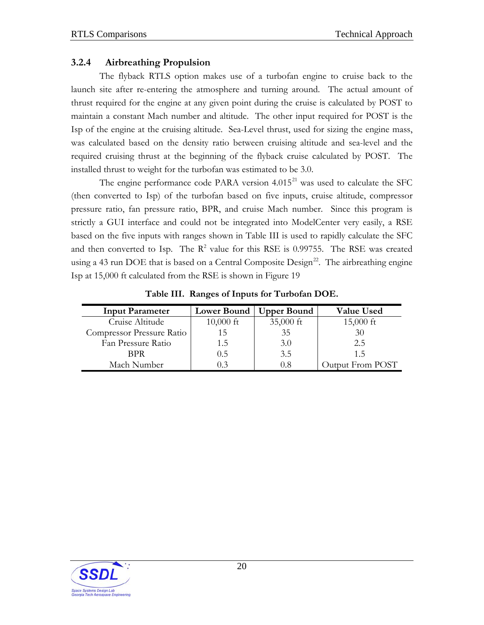#### <span id="page-24-0"></span>**3.2.4 Airbreathing Propulsion**

The flyback RTLS option makes use of a turbofan engine to cruise back to the launch site after re-entering the atmosphere and turning around. The actual amount of thrust required for the engine at any given point during the cruise is calculated by POST to maintain a constant Mach number and altitude. The other input required for POST is the Isp of the engine at the cruising altitude. Sea-Level thrust, used for sizing the engine mass, was calculated based on the density ratio between cruising altitude and sea-level and the required cruising thrust at the beginning of the flyback cruise calculated by POST. The installed thrust to weight for the turbofan was estimated to be 3.0.

The engine performance code PARA version  $4.015<sup>21</sup>$  $4.015<sup>21</sup>$  $4.015<sup>21</sup>$  was used to calculate the SFC (then converted to Isp) of the turbofan based on five inputs, cruise altitude, compressor pressure ratio, fan pressure ratio, BPR, and cruise Mach number. Since this program is strictly a GUI interface and could not be integrated into ModelCenter very easily, a RSE based on the five inputs with ranges shown in [Table III](#page-24-0) is used to rapidly calculate the SFC and then converted to Isp. The  $R^2$  value for this RSE is 0.99755. The RSE was created using a 43 run DOE that is based on a Central Composite  $Design^{22}$  $Design^{22}$  $Design^{22}$ . The airbreathing engine Isp at 15,000 ft calculated from the RSE is shown in [Figure 19](#page-25-0) 

| <b>Input Parameter</b>    | <b>Lower Bound</b> | <b>Upper Bound</b> | <b>Value Used</b> |
|---------------------------|--------------------|--------------------|-------------------|
| Cruise Altitude           | $10,000$ ft        | 35,000 ft          | $15,000$ ft       |
| Compressor Pressure Ratio | 15                 | 35                 | 30                |
| Fan Pressure Ratio        | 1.5                | 3.0                | 2.5               |
| BPR                       | (0.5)              | 3.5                | 15                |
| Mach Number               |                    | 0.8                | Output From POST  |

**Table III. Ranges of Inputs for Turbofan DOE.** 

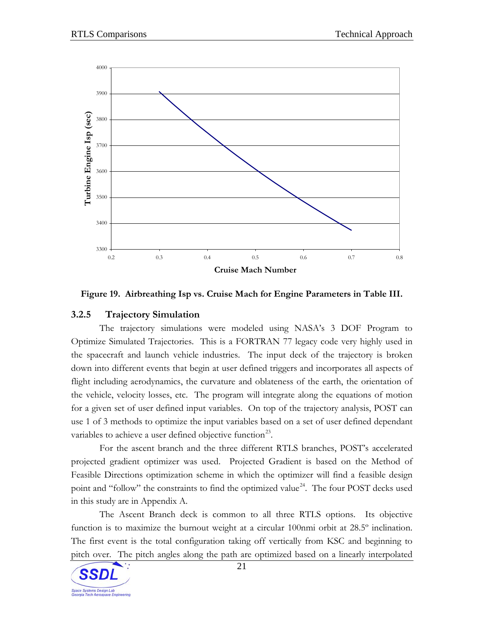<span id="page-25-0"></span>



#### **3.2.5 Trajectory Simulation**

The trajectory simulations were modeled using NASA's 3 DOF Program to Optimize Simulated Trajectories. This is a FORTRAN 77 legacy code very highly used in the spacecraft and launch vehicle industries. The input deck of the trajectory is broken down into different events that begin at user defined triggers and incorporates all aspects of flight including aerodynamics, the curvature and oblateness of the earth, the orientation of the vehicle, velocity losses, etc. The program will integrate along the equations of motion for a given set of user defined input variables. On top of the trajectory analysis, POST can use 1 of 3 methods to optimize the input variables based on a set of user defined dependant variables to achieve a user defined objective function<sup>[2](#page--1-2)3</sup>.

For the ascent branch and the three different RTLS branches, POST's accelerated projected gradient optimizer was used. Projected Gradient is based on the Method of Feasible Directions optimization scheme in which the optimizer will find a feasible design point and "follow" the constraints to find the optimized value<sup>[24](#page--1-2)</sup>. The four POST decks used in this study are in Appendix A.

The Ascent Branch deck is common to all three RTLS options. Its objective function is to maximize the burnout weight at a circular 100nmi orbit at 28.5º inclination. The first event is the total configuration taking off vertically from KSC and beginning to pitch over. The pitch angles along the path are optimized based on a linearly interpolated

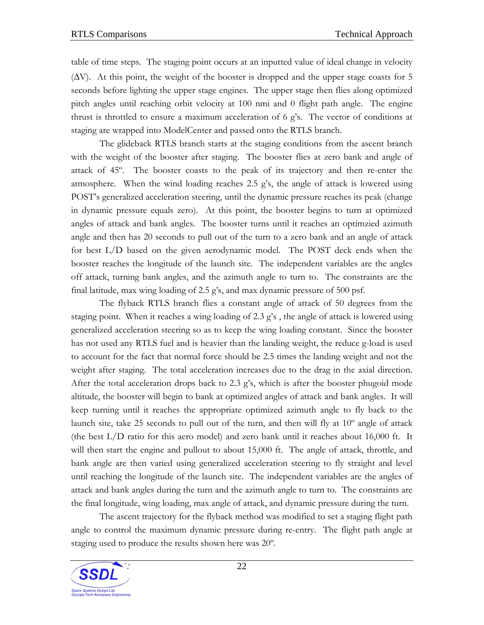table of time steps. The staging point occurs at an inputted value of ideal change in velocity (ΔV). At this point, the weight of the booster is dropped and the upper stage coasts for 5 seconds before lighting the upper stage engines. The upper stage then flies along optimized pitch angles until reaching orbit velocity at 100 nmi and 0 flight path angle. The engine thrust is throttled to ensure a maximum acceleration of 6 g's. The vector of conditions at staging are wrapped into ModelCenter and passed onto the RTLS branch.

The glideback RTLS branch starts at the staging conditions from the ascent branch with the weight of the booster after staging. The booster flies at zero bank and angle of attack of 45º. The booster coasts to the peak of its trajectory and then re-enter the atmosphere. When the wind loading reaches 2.5 g's, the angle of attack is lowered using POST's generalized acceleration steering, until the dynamic pressure reaches its peak (change in dynamic pressure equals zero). At this point, the booster begins to turn at optimized angles of attack and bank angles. The booster turns until it reaches an optimzied azimuth angle and then has 20 seconds to pull out of the turn to a zero bank and an angle of attack for best L/D based on the given aerodynamic model. The POST deck ends when the booster reaches the longitude of the launch site. The independent variables are the angles off attack, turning bank angles, and the azimuth angle to turn to. The constraints are the final latitude, max wing loading of 2.5 g's, and max dynamic pressure of 500 psf.

The flyback RTLS branch flies a constant angle of attack of 50 degrees from the staging point. When it reaches a wing loading of 2.3 g's , the angle of attack is lowered using generalized acceleration steering so as to keep the wing loading constant. Since the booster has not used any RTLS fuel and is heavier than the landing weight, the reduce g-load is used to account for the fact that normal force should be 2.5 times the landing weight and not the weight after staging. The total acceleration increases due to the drag in the axial direction. After the total acceleration drops back to 2.3 g's, which is after the booster phugoid mode altitude, the booster will begin to bank at optimized angles of attack and bank angles. It will keep turning until it reaches the appropriate optimized azimuth angle to fly back to the launch site, take 25 seconds to pull out of the turn, and then will fly at 10º angle of attack (the best L/D ratio for this aero model) and zero bank until it reaches about 16,000 ft. It will then start the engine and pullout to about 15,000 ft. The angle of attack, throttle, and bank angle are then varied using generalized acceleration steering to fly straight and level until reaching the longitude of the launch site. The independent variables are the angles of attack and bank angles during the turn and the azimuth angle to turn to. The constraints are the final longitude, wing loading, max angle of attack, and dynamic pressure during the turn.

The ascent trajectory for the flyback method was modified to set a staging flight path angle to control the maximum dynamic pressure during re-entry. The flight path angle at staging used to produce the results shown here was 20º.

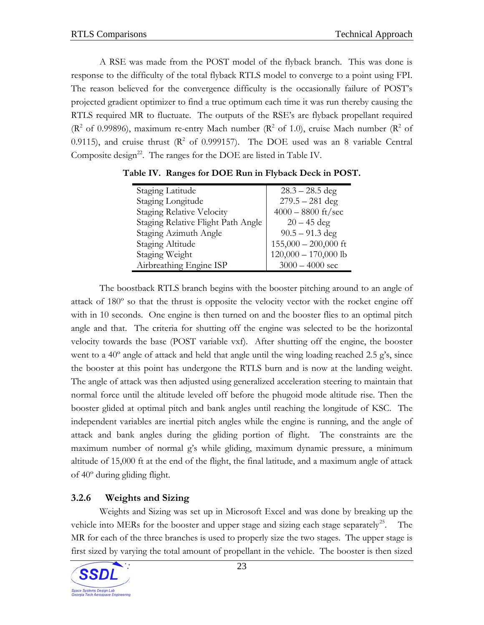<span id="page-27-0"></span>A RSE was made from the POST model of the flyback branch. This was done is response to the difficulty of the total flyback RTLS model to converge to a point using FPI. The reason believed for the convergence difficulty is the occasionally failure of POST's projected gradient optimizer to find a true optimum each time it was run thereby causing the RTLS required MR to fluctuate. The outputs of the RSE's are flyback propellant required ( $\mathbb{R}^2$  of 0.99896), maximum re-entry Mach number ( $\mathbb{R}^2$  of 1.0), cruise Mach number ( $\mathbb{R}^2$  of 0.9115), and cruise thrust  $(R^2 \text{ of } 0.999157)$ . The DOE used was an 8 variable Central Composite design<sup>[22](#page-24-0)</sup>. The ranges for the DOE are listed in [Table IV.](#page-27-0)

| Staging Latitude                   | $28.3 - 28.5$ deg      |
|------------------------------------|------------------------|
| Staging Longitude                  | $279.5 - 281$ deg      |
| <b>Staging Relative Velocity</b>   | $4000 - 8800$ ft/sec   |
| Staging Relative Flight Path Angle | $20 - 45$ deg          |
| Staging Azimuth Angle              | $90.5 - 91.3$ deg      |
| Staging Altitude                   | $155,000 - 200,000$ ft |
| Staging Weight                     | $120,000 - 170,000$ lb |
| Airbreathing Engine ISP            | $3000 - 4000$ sec      |

**Table IV. Ranges for DOE Run in Flyback Deck in POST.** 

The boostback RTLS branch begins with the booster pitching around to an angle of attack of 180º so that the thrust is opposite the velocity vector with the rocket engine off with in 10 seconds. One engine is then turned on and the booster flies to an optimal pitch angle and that. The criteria for shutting off the engine was selected to be the horizontal velocity towards the base (POST variable vxf). After shutting off the engine, the booster went to a 40<sup>°</sup> angle of attack and held that angle until the wing loading reached 2.5 g's, since the booster at this point has undergone the RTLS burn and is now at the landing weight. The angle of attack was then adjusted using generalized acceleration steering to maintain that normal force until the altitude leveled off before the phugoid mode altitude rise. Then the booster glided at optimal pitch and bank angles until reaching the longitude of KSC. The independent variables are inertial pitch angles while the engine is running, and the angle of attack and bank angles during the gliding portion of flight. The constraints are the maximum number of normal g's while gliding, maximum dynamic pressure, a minimum altitude of 15,000 ft at the end of the flight, the final latitude, and a maximum angle of attack of 40º during gliding flight.

### **3.2.6 Weights and Sizing**

Weights and Sizing was set up in Microsoft Excel and was done by breaking up the vehicle into MERs for the booster and upper stage and sizing each stage separately<sup>[25](#page--1-2)</sup>. The MR for each of the three branches is used to properly size the two stages. The upper stage is first sized by varying the total amount of propellant in the vehicle. The booster is then sized

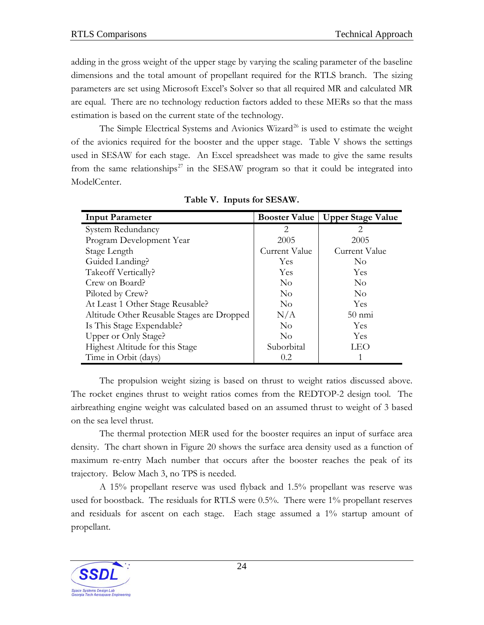<span id="page-28-0"></span>adding in the gross weight of the upper stage by varying the scaling parameter of the baseline dimensions and the total amount of propellant required for the RTLS branch. The sizing parameters are set using Microsoft Excel's Solver so that all required MR and calculated MR are equal. There are no technology reduction factors added to these MERs so that the mass estimation is based on the current state of the technology.

The Simple Electrical Systems and Avionics Wizard<sup>[26](#page--1-2)</sup> is used to estimate the weight of the avionics required for the booster and the upper stage. [Table V](#page-28-0) shows the settings used in SESAW for each stage. An Excel spreadsheet was made to give the same results from the same relationships<sup>[2](#page--1-2)7</sup> in the SESAW program so that it could be integrated into ModelCenter.

| <b>Input Parameter</b>                     | <b>Booster Value</b> | <b>Upper Stage Value</b> |
|--------------------------------------------|----------------------|--------------------------|
| System Redundancy                          | $\overline{2}$       | 2                        |
| Program Development Year                   | 2005                 | 2005                     |
| Stage Length                               | <b>Current Value</b> | Current Value            |
| Guided Landing?                            | Yes                  | N <sub>0</sub>           |
| Takeoff Vertically?                        | Yes                  | Yes                      |
| Crew on Board?                             | $\overline{N}_{0}$   | N <sub>0</sub>           |
| Piloted by Crew?                           | $\rm No$             | $\rm No$                 |
| At Least 1 Other Stage Reusable?           | $\rm No$             | <b>Yes</b>               |
| Altitude Other Reusable Stages are Dropped | N/A                  | $50 \text{ nm}$          |
| Is This Stage Expendable?                  | $\overline{N}_{0}$   | <b>Yes</b>               |
| Upper or Only Stage?                       | N <sub>0</sub>       | <b>Yes</b>               |
| Highest Altitude for this Stage            | Suborbital           | LEO                      |
| Time in Orbit (days)                       | 0.2                  |                          |

**Table V. Inputs for SESAW.** 

The propulsion weight sizing is based on thrust to weight ratios discussed above. The rocket engines thrust to weight ratios comes from the REDTOP-2 design tool. The airbreathing engine weight was calculated based on an assumed thrust to weight of 3 based on the sea level thrust.

The thermal protection MER used for the booster requires an input of surface area density. The chart shown in [Figure 20](#page-29-0) shows the surface area density used as a function of maximum re-entry Mach number that occurs after the booster reaches the peak of its trajectory. Below Mach 3, no TPS is needed.

A 15% propellant reserve was used flyback and 1.5% propellant was reserve was used for boostback. The residuals for RTLS were 0.5%. There were 1% propellant reserves and residuals for ascent on each stage. Each stage assumed a 1% startup amount of propellant.

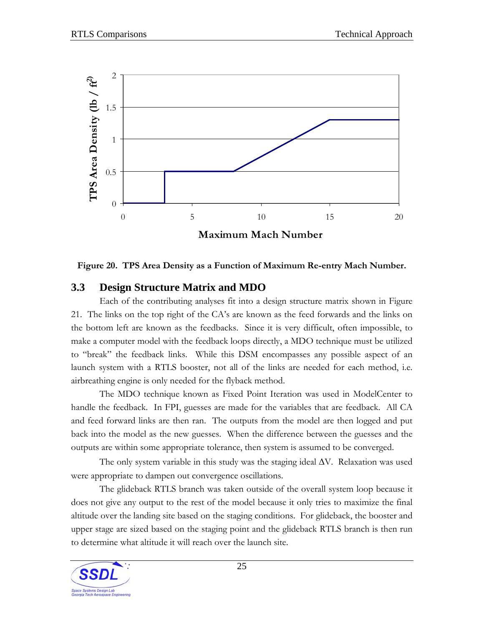<span id="page-29-0"></span>

**Figure 20. TPS Area Density as a Function of Maximum Re-entry Mach Number.** 

### **3.3 Design Structure Matrix and MDO**

Each of the contributing analyses fit into a design structure matrix shown in [Figure](#page-30-0)  [21](#page-30-0). The links on the top right of the CA's are known as the feed forwards and the links on the bottom left are known as the feedbacks. Since it is very difficult, often impossible, to make a computer model with the feedback loops directly, a MDO technique must be utilized to "break" the feedback links. While this DSM encompasses any possible aspect of an launch system with a RTLS booster, not all of the links are needed for each method, i.e. airbreathing engine is only needed for the flyback method.

The MDO technique known as Fixed Point Iteration was used in ModelCenter to handle the feedback. In FPI, guesses are made for the variables that are feedback. All CA and feed forward links are then ran. The outputs from the model are then logged and put back into the model as the new guesses. When the difference between the guesses and the outputs are within some appropriate tolerance, then system is assumed to be converged.

The only system variable in this study was the staging ideal  $\Delta V$ . Relaxation was used were appropriate to dampen out convergence oscillations.

The glideback RTLS branch was taken outside of the overall system loop because it does not give any output to the rest of the model because it only tries to maximize the final altitude over the landing site based on the staging conditions. For glideback, the booster and upper stage are sized based on the staging point and the glideback RTLS branch is then run to determine what altitude it will reach over the launch site.

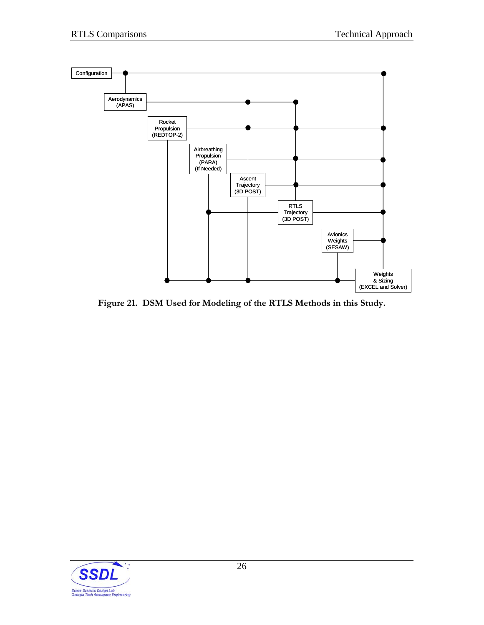<span id="page-30-0"></span>

**Figure 21. DSM Used for Modeling of the RTLS Methods in this Study.** 

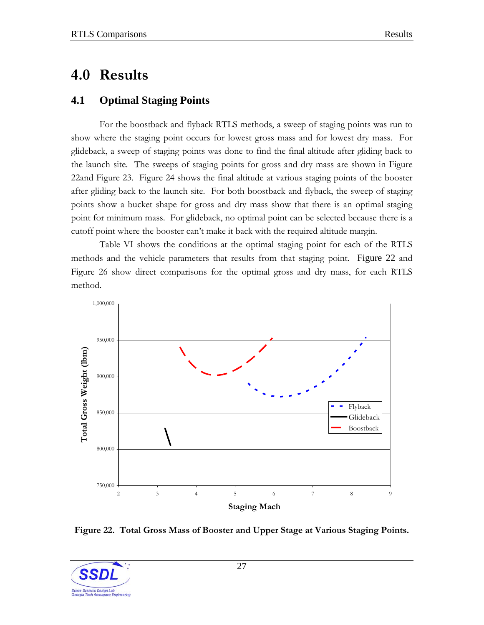## <span id="page-31-0"></span>**4.0 Results**

### **4.1 Optimal Staging Points**

For the boostback and flyback RTLS methods, a sweep of staging points was run to show where the staging point occurs for lowest gross mass and for lowest dry mass. For glideback, a sweep of staging points was done to find the final altitude after gliding back to the launch site. The sweeps of staging points for gross and dry mass are shown in [Figure](#page-31-0)  [22](#page-31-0)and [Figure 23](#page-32-0). [Figure 24](#page-32-0) shows the final altitude at various staging points of the booster after gliding back to the launch site. For both boostback and flyback, the sweep of staging points show a bucket shape for gross and dry mass show that there is an optimal staging point for minimum mass. For glideback, no optimal point can be selected because there is a cutoff point where the booster can't make it back with the required altitude margin.

[Table VI](#page-33-0) shows the conditions at the optimal staging point for each of the RTLS methods and the vehicle parameters that results from that staging point. [Figure 22](#page-31-0) and [Figure 26](#page-34-0) show direct comparisons for the optimal gross and dry mass, for each RTLS method.



**Figure 22. Total Gross Mass of Booster and Upper Stage at Various Staging Points.** 

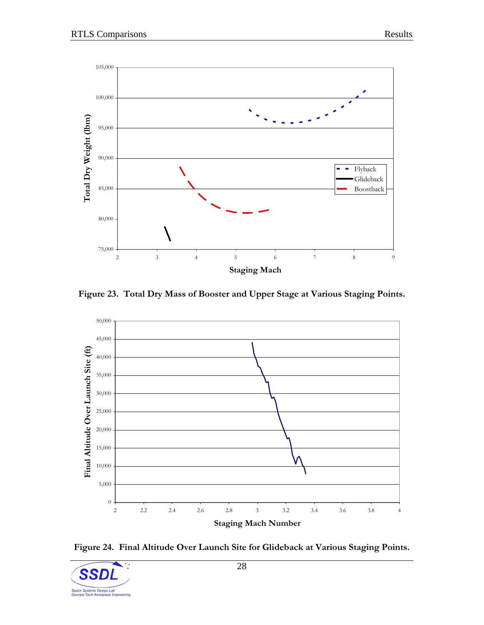<span id="page-32-0"></span>

**Figure 23. Total Dry Mass of Booster and Upper Stage at Various Staging Points.** 



**Figure 24. Final Altitude Over Launch Site for Glideback at Various Staging Points.** 

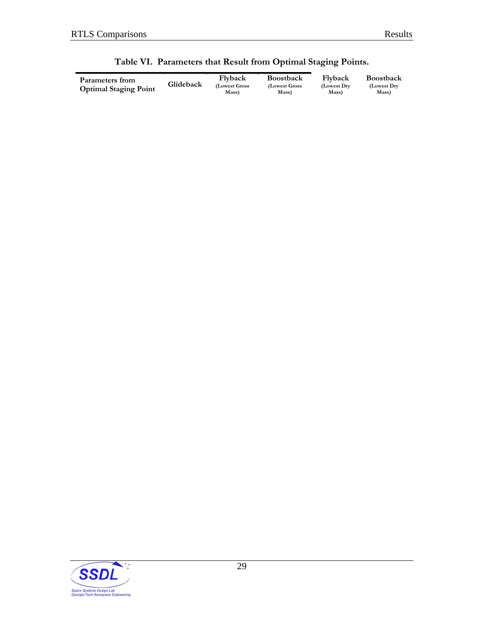#### sult from Optimal Staging Points.

<span id="page-33-0"></span>

| <b>Boostback</b>        |  |
|-------------------------|--|
| Gross<br>(Lowest Gross) |  |
| Mass)                   |  |

**Flyback (Lowest Dry Mass)** 

**Boostback (Lowest Dry Mass)**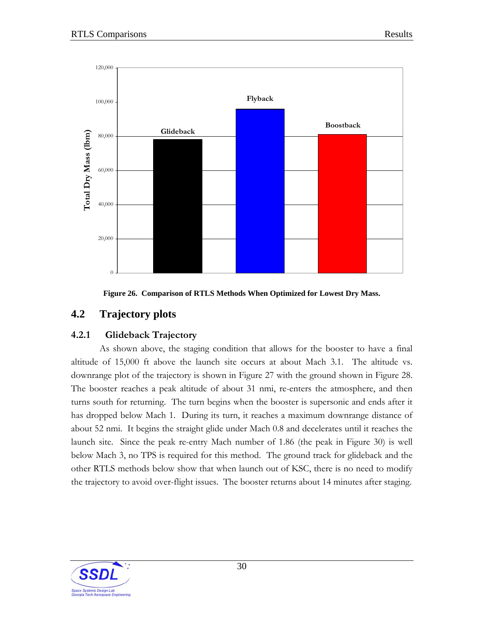<span id="page-34-0"></span>



### **4.2 Trajectory plots**

#### **4.2.1 Glideback Trajectory**

As shown above, the staging condition that allows for the booster to have a final altitude of 15,000 ft above the launch site occurs at about Mach 3.1. The altitude vs. downrange plot of the trajectory is shown in [Figure 27](#page-35-0) with the ground shown in [Figure 28](#page-35-0). The booster reaches a peak altitude of about 31 nmi, re-enters the atmosphere, and then turns south for returning. The turn begins when the booster is supersonic and ends after it has dropped below Mach 1. During its turn, it reaches a maximum downrange distance of about 52 nmi. It begins the straight glide under Mach 0.8 and decelerates until it reaches the launch site. Since the peak re-entry Mach number of 1.86 (the peak in [Figure 30](#page-36-0)) is well below Mach 3, no TPS is required for this method. The ground track for glideback and the other RTLS methods below show that when launch out of KSC, there is no need to modify the trajectory to avoid over-flight issues. The booster returns about 14 minutes after staging.

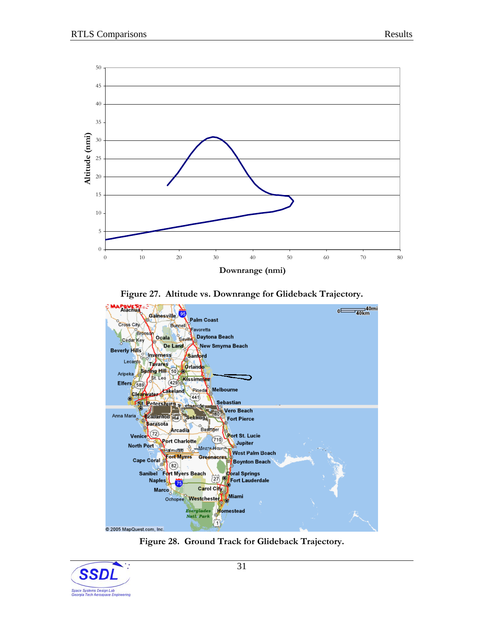<span id="page-35-0"></span>

**Figure 27. Altitude vs. Downrange for Glideback Trajectory.** 



**Figure 28. Ground Track for Glideback Trajectory.** 

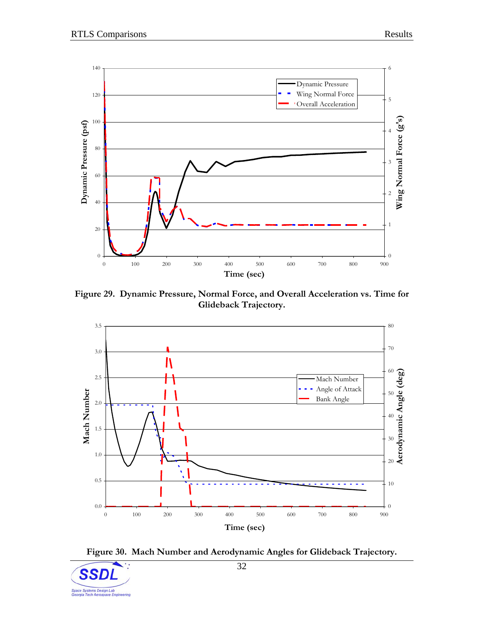<span id="page-36-0"></span>

**Figure 29. Dynamic Pressure, Normal Force, and Overall Acceleration vs. Time for Glideback Trajectory.** 





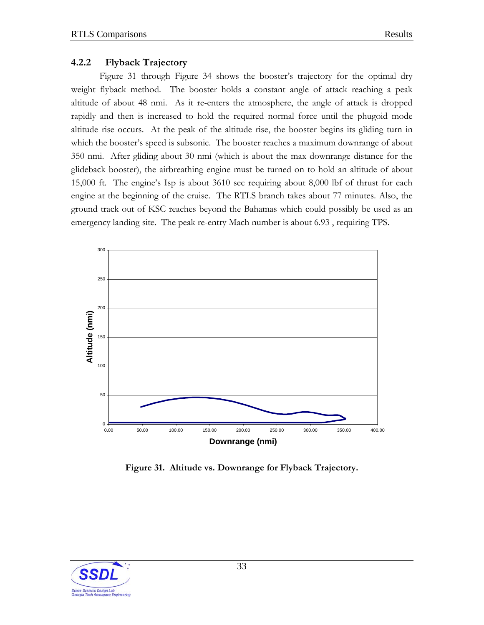#### <span id="page-37-0"></span>**4.2.2 Flyback Trajectory**

[Figure 31](#page-37-0) through [Figure 34](#page-39-0) shows the booster's trajectory for the optimal dry weight flyback method. The booster holds a constant angle of attack reaching a peak altitude of about 48 nmi. As it re-enters the atmosphere, the angle of attack is dropped rapidly and then is increased to hold the required normal force until the phugoid mode altitude rise occurs. At the peak of the altitude rise, the booster begins its gliding turn in which the booster's speed is subsonic. The booster reaches a maximum downrange of about 350 nmi. After gliding about 30 nmi (which is about the max downrange distance for the glideback booster), the airbreathing engine must be turned on to hold an altitude of about 15,000 ft. The engine's Isp is about 3610 sec requiring about 8,000 lbf of thrust for each engine at the beginning of the cruise. The RTLS branch takes about 77 minutes. Also, the ground track out of KSC reaches beyond the Bahamas which could possibly be used as an emergency landing site. The peak re-entry Mach number is about 6.93 , requiring TPS.



**Figure 31. Altitude vs. Downrange for Flyback Trajectory.** 

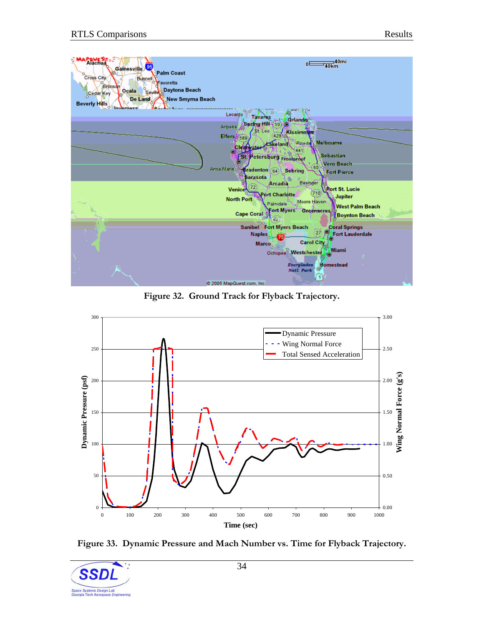<span id="page-38-0"></span>

**Figure 32. Ground Track for Flyback Trajectory.** 



**Figure 33. Dynamic Pressure and Mach Number vs. Time for Flyback Trajectory.** 

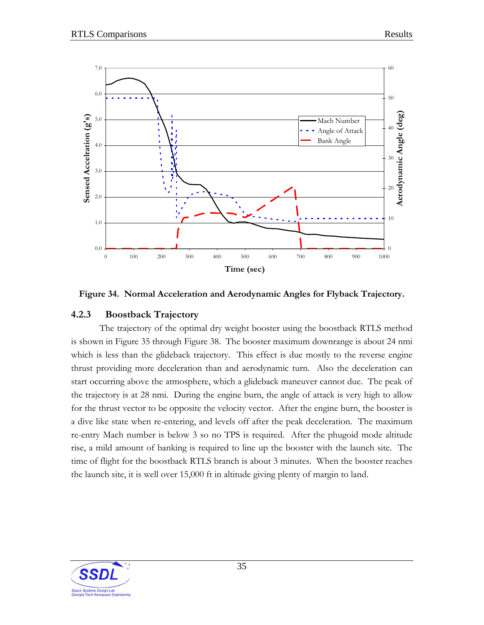<span id="page-39-0"></span>



#### **4.2.3 Boostback Trajectory**

The trajectory of the optimal dry weight booster using the boostback RTLS method is shown in [Figure 35](#page-40-0) through [Figure 38](#page-41-0). The booster maximum downrange is about 24 nmi which is less than the glideback trajectory. This effect is due mostly to the reverse engine thrust providing more deceleration than and aerodynamic turn. Also the deceleration can start occurring above the atmosphere, which a glideback maneuver cannot due. The peak of the trajectory is at 28 nmi. During the engine burn, the angle of attack is very high to allow for the thrust vector to be opposite the velocity vector. After the engine burn, the booster is a dive like state when re-entering, and levels off after the peak deceleration. The maximum re-entry Mach number is below 3 so no TPS is required. After the phugoid mode altitude rise, a mild amount of banking is required to line up the booster with the launch site. The time of flight for the boostback RTLS branch is about 3 minutes. When the booster reaches the launch site, it is well over 15,000 ft in altitude giving plenty of margin to land.

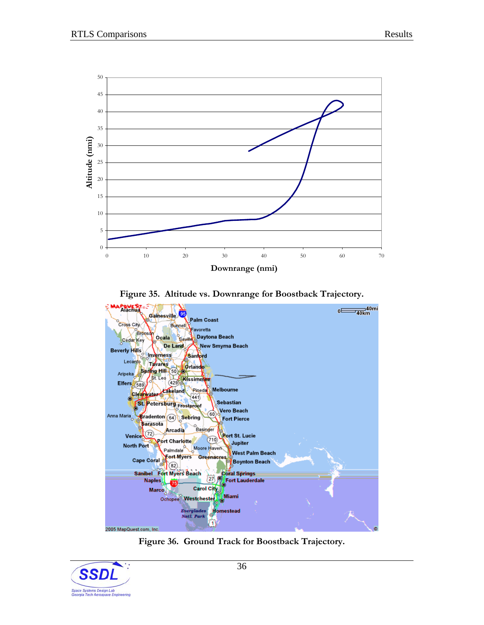<span id="page-40-0"></span>

**Figure 35. Altitude vs. Downrange for Boostback Trajectory.** 



**Figure 36. Ground Track for Boostback Trajectory.** 

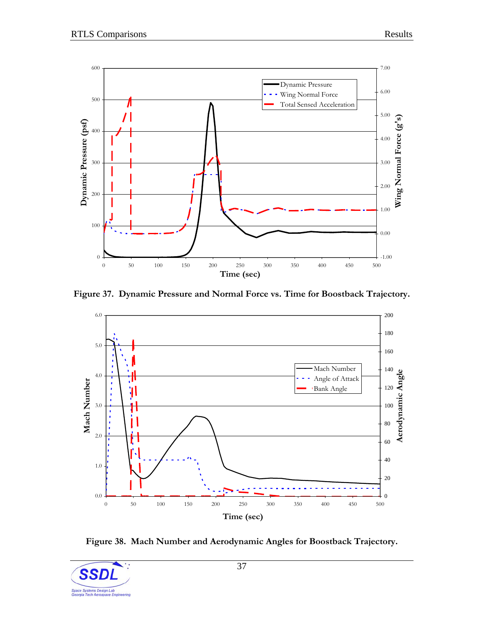<span id="page-41-0"></span>

**Figure 37. Dynamic Pressure and Normal Force vs. Time for Boostback Trajectory.** 



**Figure 38. Mach Number and Aerodynamic Angles for Boostback Trajectory.** 

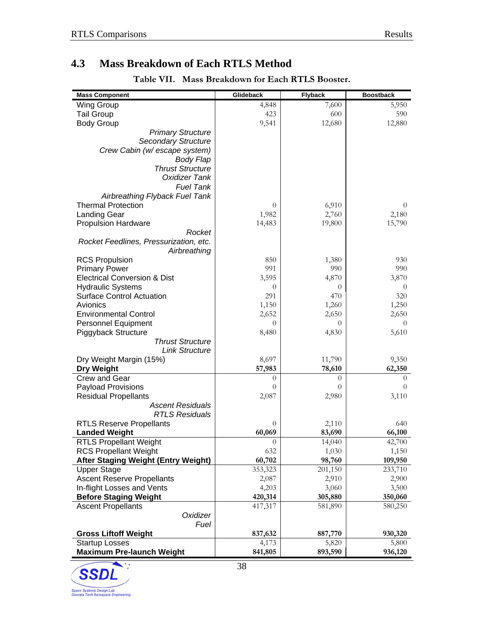### <span id="page-42-0"></span>**4.3 Mass Breakdown of Each RTLS Method**

**Table VII. Mass Breakdown for Each RTLS Booster.** 

| <b>Mass Component</b>                      | Glideback |          | <b>Flyback</b> |          | <b>Boostback</b> |          |
|--------------------------------------------|-----------|----------|----------------|----------|------------------|----------|
| <b>Wing Group</b>                          |           | 4,848    |                | 7,600    |                  | 5,950    |
| <b>Tail Group</b>                          |           | 423      |                | 600      |                  | 590      |
| <b>Body Group</b>                          |           | 9,541    |                | 12,680   |                  | 12,880   |
| <b>Primary Structure</b>                   | 1,906     |          | 2,530          |          | 2,480            |          |
| <b>Secondary Structure</b>                 | 250       |          | 330            |          | 330              |          |
| Crew Cabin (w/ escape system)              | 0         |          | 0              |          | 0                |          |
| <b>Body Flap</b>                           | 178       |          | 240            |          | 230              |          |
| <b>Thrust Structure</b>                    | 2,361     |          | 2,520          |          | 2,640            |          |
| Oxidizer Tank                              | 3,654     |          | 5,100          |          | 5,430            |          |
| <b>Fuel Tank</b>                           | 1,192     |          | 1,800          |          | 1,770            |          |
| Airbreathing Flyback Fuel Tank             | 0.0       |          | 170            |          | 0                |          |
| <b>Thermal Protection</b>                  |           | $\theta$ |                | 6,910    |                  | $\theta$ |
| <b>Landing Gear</b>                        |           | 1,982    |                | 2,760    |                  | 2,180    |
| <b>Propulsion Hardware</b>                 |           | 14,483   |                | 19,800   |                  | 15,790   |
| Rocket                                     | 8,974     |          | 9,270          |          | 9,670            |          |
| Rocket Feedlines, Pressurization, etc.     | 5509.1    |          | 5,840          |          | 6,120            |          |
| Airbreathing                               | 0.0       |          | 4,700          |          | 0                |          |
| <b>RCS Propulsion</b>                      |           | 850      |                | 1,380    |                  | 930      |
| <b>Primary Power</b>                       |           | 991      |                | 990      |                  | 990      |
| <b>Electrical Conversion &amp; Dist</b>    |           | 3,595    |                | 4,870    |                  | 3,870    |
| <b>Hydraulic Systems</b>                   |           | $\theta$ |                | $\theta$ |                  | $\theta$ |
| <b>Surface Control Actuation</b>           |           | 291      |                | 470      |                  | 320      |
| Avionics                                   |           | 1,150    |                | 1,260    |                  | 1,250    |
| <b>Environmental Control</b>               |           | 2,652    |                | 2,650    |                  | 2,650    |
| Personnel Equipment                        |           | $\theta$ |                | $\theta$ |                  | $\Omega$ |
| Piggyback Structure                        |           | 8,480    |                | 4,830    |                  | 5,610    |
| <b>Thrust Structure</b>                    | 7,950     |          | 4,530          |          | 5,260            |          |
| <b>Link Structure</b>                      | 530       |          | 300            |          | 350              |          |
| Dry Weight Margin (15%)                    |           | 8,697    |                | 11,790   |                  | 9,350    |
| <b>Dry Weight</b>                          |           | 57,983   |                | 78,610   |                  | 62,350   |
| Crew and Gear                              |           | $\theta$ |                | $\theta$ |                  | 0        |
| <b>Payload Provisions</b>                  |           | $\theta$ |                | $\theta$ |                  | 0        |
| <b>Residual Propellants</b>                |           | 2,087    |                | 2,980    |                  | 3,110    |
| <b>Ascent Residuals</b>                    | 2,087     |          | 2,910          |          | 2,900            |          |
| <b>RTLS Residuals</b>                      | 0         |          | 70             |          | 210              |          |
| <b>RTLS Reserve Propellants</b>            |           | $\theta$ |                | 2,110    |                  | 640      |
| <b>Landed Weight</b>                       |           | 60,069   |                | 83,690   |                  | 66,100   |
| <b>RTLS Propellant Weight</b>              |           | $\cup$   |                | 14,040   |                  | 42,700   |
| <b>RCS Propellant Weight</b>               |           | 632      |                | 1,030    |                  | 1,150    |
| <b>After Staging Weight (Entry Weight)</b> |           | 60,702   |                | 98,760   |                  | 109,950  |
| <b>Upper Stage</b>                         |           | 353,323  |                | 201,150  |                  | 233,710  |
| <b>Ascent Reserve Propellants</b>          |           | 2,087    |                | 2,910    |                  | 2,900    |
| In-flight Losses and Vents                 |           | 4,203    |                | 3,060    |                  | 3,500    |
| <b>Before Staging Weight</b>               |           | 420,314  |                | 305,880  |                  | 350,060  |
| <b>Ascent Propellants</b>                  |           | 417,317  |                | 581,890  |                  | 580,250  |
| Oxidizer                                   | 304,529   |          | 415,640        |          | 423,430          |          |
| Fuel                                       | 112,788   |          | 166,250        |          | 156,830          |          |
| <b>Gross Liftoff Weight</b>                |           | 837,632  |                | 887,770  |                  | 930,320  |
| <b>Startup Losses</b>                      |           | 4,173    |                | 5,820    |                  | 5,800    |
| <b>Maximum Pre-launch Weight</b>           |           | 841,805  |                | 893,590  |                  | 936,120  |
|                                            |           |          |                |          |                  |          |

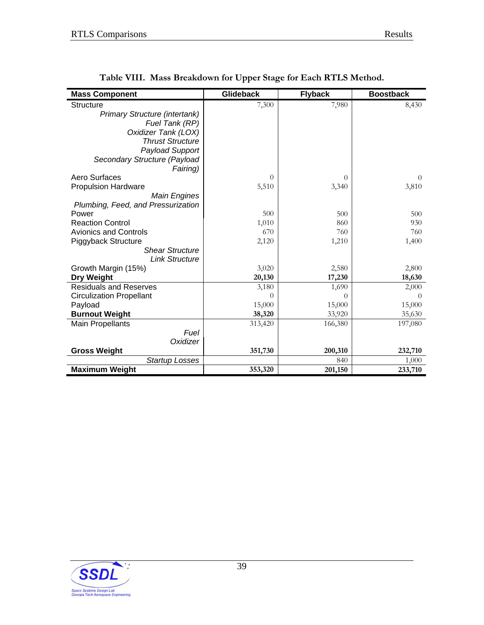<span id="page-43-0"></span>

| <b>Mass Component</b>              | Glideback |          | <b>Flyback</b> |         | <b>Boostback</b> |          |
|------------------------------------|-----------|----------|----------------|---------|------------------|----------|
| <b>Structure</b>                   |           | 7,300    |                | 7,980   |                  | 8,430    |
| Primary Structure (intertank)      | 650       |          | 1,060          |         | 1,080            |          |
| Fuel Tank (RP)                     | 1,030     |          | 550            |         | 650              |          |
| Oxidizer Tank (LOX)                | 2,680     |          | 1,420          |         | 1,680            |          |
| <b>Thrust Structure</b>            | 810       |          | 460            |         | 540              |          |
| Payload Support                    | 1,500     |          | 1,500          |         | 1,500            |          |
| Secondary Structure (Payload       | 630       |          |                |         |                  |          |
| Fairing)                           |           |          | 2,990          |         | 2,980            |          |
| Aero Surfaces                      |           | $\theta$ |                | 0       |                  | $\Omega$ |
| <b>Propulsion Hardware</b>         |           | 5,510    |                | 3,340   |                  | 3,810    |
| <b>Main Engines</b>                | 3,720     |          | 2,290          |         | 2,600            |          |
| Plumbing, Feed, and Pressurization | 1,790     |          | 1,050          |         | 1,210            |          |
| Power                              |           | 500      |                | 500     |                  | 500      |
| <b>Reaction Control</b>            |           | 1,010    |                | 860     |                  | 930      |
| <b>Avionics and Controls</b>       |           | 670      |                | 760     |                  | 760      |
| Piggyback Structure                |           | 2,120    |                | 1,210   |                  | 1,400    |
| <b>Shear Structure</b>             | 1,590     |          | 910            |         | 1,050            |          |
| <b>Link Structure</b>              | 530       |          | 300            |         | 350              |          |
| Growth Margin (15%)                |           | 3,020    |                | 2,580   |                  | 2,800    |
| Dry Weight                         |           | 20,130   |                | 17,230  |                  | 18,630   |
| <b>Residuals and Reserves</b>      |           | 3,180    |                | 1,690   |                  | 2,000    |
| <b>Circulization Propellant</b>    |           | $\Omega$ |                | 0       |                  | $\Omega$ |
| Payload                            |           | 15,000   |                | 15,000  |                  | 15,000   |
| <b>Burnout Weight</b>              |           | 38,320   |                | 33,920  |                  | 35,630   |
| <b>Main Propellants</b>            |           | 313,420  |                | 166,380 |                  | 197,080  |
| Fuel                               | 84,710    |          | 44,970         |         | 53,260           |          |
| Oxidizer                           | 228,710   |          | 121,420        |         | 143,810          |          |
| <b>Gross Weight</b>                |           | 351,730  |                | 200,310 |                  | 232,710  |
| <b>Startup Losses</b>              |           | 1,590    |                | 840     |                  | 1,000    |
| <b>Maximum Weight</b>              |           | 353,320  |                | 201,150 |                  | 233,710  |

**Table VIII. Mass Breakdown for Upper Stage for Each RTLS Method.** 

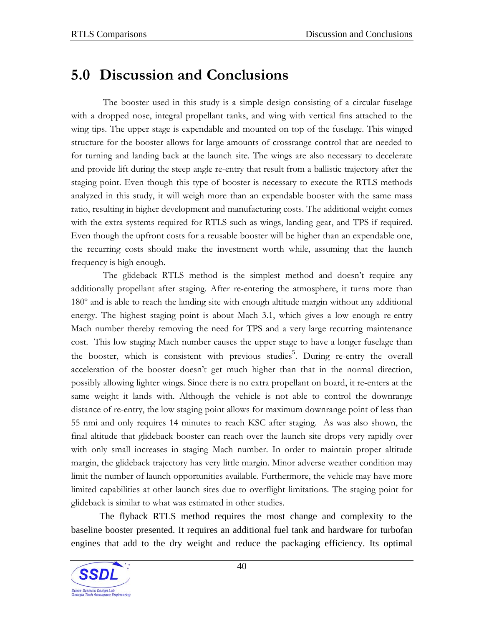## <span id="page-44-0"></span>**5.0 Discussion and Conclusions**

The booster used in this study is a simple design consisting of a circular fuselage with a dropped nose, integral propellant tanks, and wing with vertical fins attached to the wing tips. The upper stage is expendable and mounted on top of the fuselage. This winged structure for the booster allows for large amounts of crossrange control that are needed to for turning and landing back at the launch site. The wings are also necessary to decelerate and provide lift during the steep angle re-entry that result from a ballistic trajectory after the staging point. Even though this type of booster is necessary to execute the RTLS methods analyzed in this study, it will weigh more than an expendable booster with the same mass ratio, resulting in higher development and manufacturing costs. The additional weight comes with the extra systems required for RTLS such as wings, landing gear, and TPS if required. Even though the upfront costs for a reusable booster will be higher than an expendable one, the recurring costs should make the investment worth while, assuming that the launch frequency is high enough.

The glideback RTLS method is the simplest method and doesn't require any additionally propellant after staging. After re-entering the atmosphere, it turns more than 180º and is able to reach the landing site with enough altitude margin without any additional energy. The highest staging point is about Mach 3.1, which gives a low enough re-entry Mach number thereby removing the need for TPS and a very large recurring maintenance cost. This low staging Mach number causes the upper stage to have a longer fuselage than the booster, which is consistent with previous studies<sup>[5](#page-8-0)</sup>. During re-entry the overall acceleration of the booster doesn't get much higher than that in the normal direction, possibly allowing lighter wings. Since there is no extra propellant on board, it re-enters at the same weight it lands with. Although the vehicle is not able to control the downrange distance of re-entry, the low staging point allows for maximum downrange point of less than 55 nmi and only requires 14 minutes to reach KSC after staging. As was also shown, the final altitude that glideback booster can reach over the launch site drops very rapidly over with only small increases in staging Mach number. In order to maintain proper altitude margin, the glideback trajectory has very little margin. Minor adverse weather condition may limit the number of launch opportunities available. Furthermore, the vehicle may have more limited capabilities at other launch sites due to overflight limitations. The staging point for glideback is similar to what was estimated in other studies.

The flyback RTLS method requires the most change and complexity to the baseline booster presented. It requires an additional fuel tank and hardware for turbofan engines that add to the dry weight and reduce the packaging efficiency. Its optimal

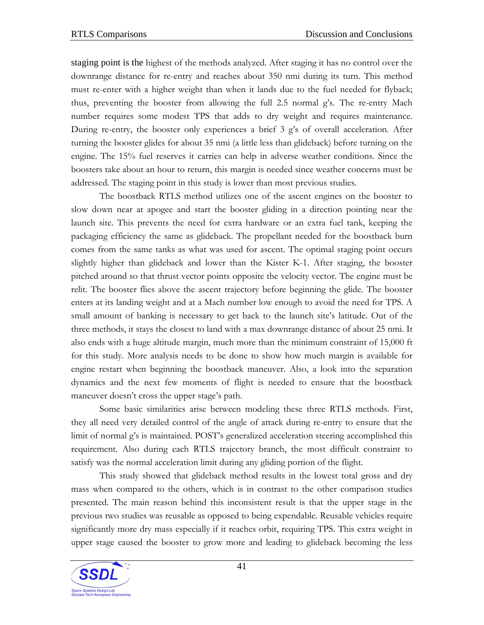staging point is the highest of the methods analyzed. After staging it has no control over the downrange distance for re-entry and reaches about 350 nmi during its turn. This method must re-enter with a higher weight than when it lands due to the fuel needed for flyback; thus, preventing the booster from allowing the full 2.5 normal g's. The re-entry Mach number requires some modest TPS that adds to dry weight and requires maintenance. During re-entry, the booster only experiences a brief 3 g's of overall acceleration. After turning the booster glides for about 35 nmi (a little less than glideback) before turning on the engine. The 15% fuel reserves it carries can help in adverse weather conditions. Since the boosters take about an hour to return, this margin is needed since weather concerns must be addressed. The staging point in this study is lower than most previous studies.

The boostback RTLS method utilizes one of the ascent engines on the booster to slow down near at apogee and start the booster gliding in a direction pointing near the launch site. This prevents the need for extra hardware or an extra fuel tank, keeping the packaging efficiency the same as glideback. The propellant needed for the boostback burn comes from the same tanks as what was used for ascent. The optimal staging point occurs slightly higher than glideback and lower than the Kister K-1. After staging, the booster pitched around so that thrust vector points opposite the velocity vector. The engine must be relit. The booster flies above the ascent trajectory before beginning the glide. The booster enters at its landing weight and at a Mach number low enough to avoid the need for TPS. A small amount of banking is necessary to get back to the launch site's latitude. Out of the three methods, it stays the closest to land with a max downrange distance of about 25 nmi. It also ends with a huge altitude margin, much more than the minimum constraint of 15,000 ft for this study. More analysis needs to be done to show how much margin is available for engine restart when beginning the boostback maneuver. Also, a look into the separation dynamics and the next few moments of flight is needed to ensure that the boostback maneuver doesn't cross the upper stage's path.

Some basic similarities arise between modeling these three RTLS methods. First, they all need very detailed control of the angle of attack during re-entry to ensure that the limit of normal g's is maintained. POST's generalized acceleration steering accomplished this requirement. Also during each RTLS trajectory branch, the most difficult constraint to satisfy was the normal acceleration limit during any gliding portion of the flight.

This study showed that glideback method results in the lowest total gross and dry mass when compared to the others, which is in contrast to the other comparison studies presented. The main reason behind this inconsistent result is that the upper stage in the previous two studies was reusable as opposed to being expendable. Reusable vehicles require significantly more dry mass especially if it reaches orbit, requiring TPS. This extra weight in upper stage caused the booster to grow more and leading to glideback becoming the less

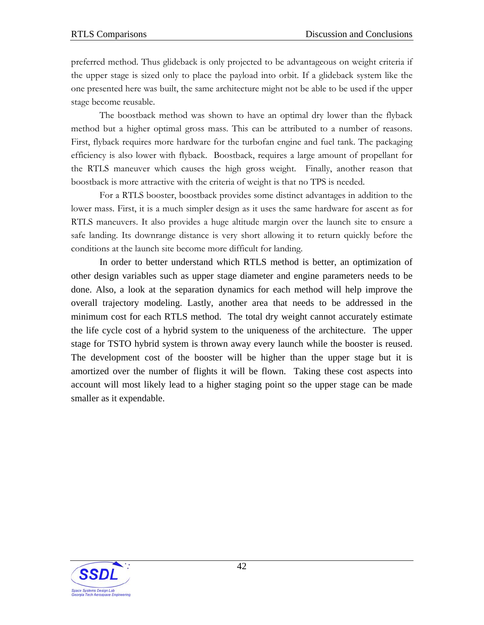preferred method. Thus glideback is only projected to be advantageous on weight criteria if the upper stage is sized only to place the payload into orbit. If a glideback system like the one presented here was built, the same architecture might not be able to be used if the upper stage become reusable.

The boostback method was shown to have an optimal dry lower than the flyback method but a higher optimal gross mass. This can be attributed to a number of reasons. First, flyback requires more hardware for the turbofan engine and fuel tank. The packaging efficiency is also lower with flyback. Boostback, requires a large amount of propellant for the RTLS maneuver which causes the high gross weight. Finally, another reason that boostback is more attractive with the criteria of weight is that no TPS is needed.

For a RTLS booster, boostback provides some distinct advantages in addition to the lower mass. First, it is a much simpler design as it uses the same hardware for ascent as for RTLS maneuvers. It also provides a huge altitude margin over the launch site to ensure a safe landing. Its downrange distance is very short allowing it to return quickly before the conditions at the launch site become more difficult for landing.

In order to better understand which RTLS method is better, an optimization of other design variables such as upper stage diameter and engine parameters needs to be done. Also, a look at the separation dynamics for each method will help improve the overall trajectory modeling. Lastly, another area that needs to be addressed in the minimum cost for each RTLS method. The total dry weight cannot accurately estimate the life cycle cost of a hybrid system to the uniqueness of the architecture. The upper stage for TSTO hybrid system is thrown away every launch while the booster is reused. The development cost of the booster will be higher than the upper stage but it is amortized over the number of flights it will be flown. Taking these cost aspects into account will most likely lead to a higher staging point so the upper stage can be made smaller as it expendable.

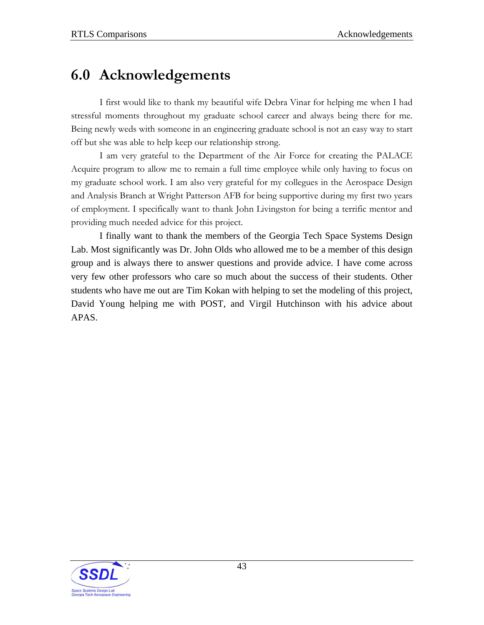## <span id="page-47-0"></span>**6.0 Acknowledgements**

I first would like to thank my beautiful wife Debra Vinar for helping me when I had stressful moments throughout my graduate school career and always being there for me. Being newly weds with someone in an engineering graduate school is not an easy way to start off but she was able to help keep our relationship strong.

I am very grateful to the Department of the Air Force for creating the PALACE Acquire program to allow me to remain a full time employee while only having to focus on my graduate school work. I am also very grateful for my collegues in the Aerospace Design and Analysis Branch at Wright Patterson AFB for being supportive during my first two years of employment. I specifically want to thank John Livingston for being a terrific mentor and providing much needed advice for this project.

I finally want to thank the members of the Georgia Tech Space Systems Design Lab. Most significantly was Dr. John Olds who allowed me to be a member of this design group and is always there to answer questions and provide advice. I have come across very few other professors who care so much about the success of their students. Other students who have me out are Tim Kokan with helping to set the modeling of this project, David Young helping me with POST, and Virgil Hutchinson with his advice about APAS.

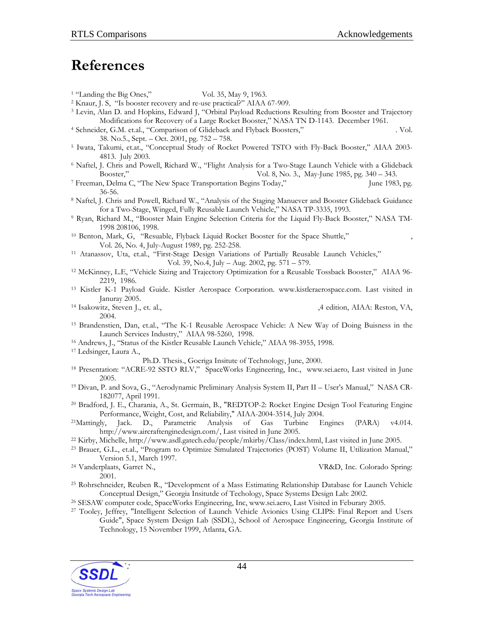## <span id="page-48-0"></span>**References**

- 
- <sup>1</sup> "Landing the Big Ones," **MatrineDesign**, Vol. 35, May 9, 1963.<br><sup>2</sup> Knaur, J. S, "Is booster recovery and re-use practical?" AIAA 67-909.<br><sup>3</sup> Levin, Alan D. and Hopkins, Edward J, "Orbital Payload Reductions Resulting f
- Modifications for Recovery of a Large Rocket Booster," NASA TN D-1143. December 1961.<br><sup>4</sup> Schneider, G.M. et.al., "Comparison of Glideback and Flyback Boosters," **Journal of Spacecraft and Rockets** Vol.<br>38. No.5., Sept. –
- <sup>5</sup> Iwata, Takumi, et.at., "Conceptual Study of Rocket Powered TSTO with Fly-Back Booster," AIAA 2003-
- 4813. July 2003.<br><sup>6</sup> Naftel, J. Chris and Powell, Richard W., "Flight Analysis for a Two-Stage Launch Vehicle with a Glideback<br>Booster," **Jurnal of Guidence Control, and Dynemics** Vol. 8, No. 3., May-June 1985, pg. 340 3
- <sup>7</sup> Freeman, Delma C, "The New Space Transportation Begins Today," **Astronautics & Aeronautics** June 1983, pg.
- 36-56.<br>8 Naftel, J. Chris and Powell, Richard W., "Analysis of the Staging Manuever and Booster Glideback Guidance<br>5 for a Two-Stage, Winged, Fully Reusable Launch Vehicle," NASA TP-3335, 1993.
- <sup>9</sup> Ryan, Richard M., "Booster Main Engine Selection Criteria for the Liquid Fly-Back Booster," NASA TM-
- 1998 208106, 1998. 10 Benton, Mark, G, "Resuable, Flyback Liquid Rocket Booster for the Space Shuttle," *Journal of Spacecraft*, Vol. 26, No. 4, July-August 1989, pg. 252-258. 11 Atanassov, Uta, et.al., "First-Stage Design Variations of Partially Reusable Launch Vehicles," *Journal of*
- 
- **Spaceraft and Rockets.** Vol. 39, No.4, July Aug. 2002, pg. 571 579.<br><sup>12</sup> McKinney, L.E, "Vehicle Sizing and Trajectory Optimization for a Reusable Tossback Booster," AIAA 96-2219, 1986.<br><sup>13</sup> Kistler K-1 Payload Guide. Kistler Aerospace Corporation. www.kistleraerospace.com. Last visited in
- 
- Januray 2005. 14 Isakowitz, Steven J., et. al., *International Reference Guide to Space Launch Systems* ,4 edition, AIAA: Reston, VA,
- 2004.<br>
<sup>15</sup> Brandenstien, Dan, et.al., "The K-1 Reusable Aerospace Vehicle: A New Way of Doing Buisness in the<br>
Launch Services Industry," AIAA 98-5260, 1998.
- 
- <sup>16</sup> Andrews, J., "Status of the Kistler Reusable Launch Vehicle," AIAA 98-3955, 1998.<br><sup>17</sup> Ledsinger, Laura A., **Sdutions to Decomposed Branding Trajetionies with Powered Flyback Using Multidisciplinary Design**
- **Optimization.** Ph.D. Thesis., Goeriga Insitute of Technology, June, 2000.<br><sup>18</sup> Presentation: "ACRE-92 SSTO RLV," SpaceWorks Engineering, Inc., www.sei.aero, Last visited in June 2005.<br><sup>19</sup> Divan, P. and Sova, G., "Aerodynamic Preliminary Analysis System II, Part II – User's Manual," NASA CR-
- 182077, April 1991. 20 Bradford, J. E., Charania, A., St. Germain, B., "REDTOP-2: Rocket Engine Design Tool Featuring Engine
- Performance, Weight, Cost, and Reliability," AIAA-2004-3514, July 2004. 21Mattingly, Jack. D., Parametric Analysis of Gas Turbine Engines (PARA) v4.014.
- 
- http://www.aircraftenginedesign.com/, Last visited in June 2005.<br><sup>22</sup> Kirby, Michelle, http://www.asdl.gatech.edu/people/mkirby/Class/index.html, Last visited in June 2005.<br><sup>23</sup> Brauer, G.L., et.al., "Program to Optimize S
- 
- Version 5.1, March 1997. 24 Vanderplaats, Garret N., *Number Optimization Techniques for Engineering Design.* VR&D, Inc. Colorado Spring:
- 2001. 25 Rohrschneider, Reuben R., "Development of a Mass Estimating Relationship Database for Launch Vehicle Conceptual Design," Georgia Insitutde of Techology, Space Systems Design Lab: 2002.<br><sup>26</sup> SESAW computer code, SpaceWorks Engineering, Inc, www.sei.aero, Last Visited in Feburary 2005.<br><sup>27</sup> Tooley, Jeffrey, "Intelligent Sel
- 
- Guide", Space System Design Lab (SSDL), School of Aerospace Engineering, Georgia Institute of Technology, 15 November 1999, Atlanta, GA.

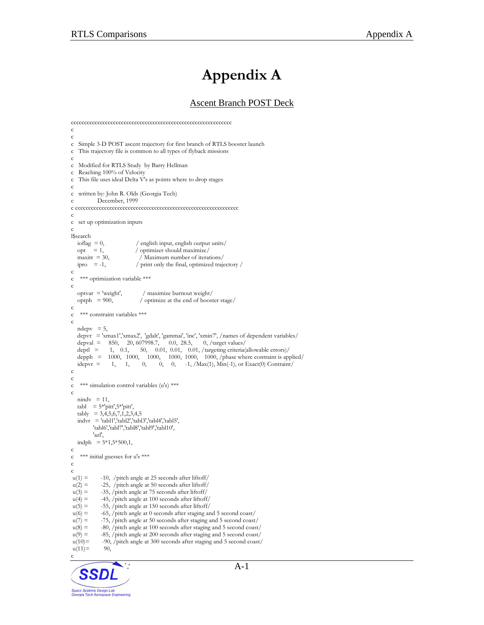## **Appendix A**

#### Ascent Branch POST Deck

```
ccccccccccccccccccccccccccccccccccccccccccccccccccccccccccccc 
c 
c 
c Simple 3-D POST ascent trajectory for first branch of RTLS booster launch 
c This trajectory file is common to all types of flyback missions 
c 
c Modified for RTLS Study by Barry Hellman 
c Reaching 100% of Velocity 
c This file uses ideal Delta V's as points where to drop stages 
c 
c written by: John R. Olds (Georgia Tech) 
c December, 1999 
c cccccccccccccccccccccccccccccccccccccccccccccccccccccccccccccc 
c 
c set up optimization inputs 
c 
l$search<br>ioflag = 0,
  ioflag = 0, / english input, english output units/<br>opt = 1, / optimizer should maximize/
                               / optimizer should maximize/
  maxitr = 30, \binom{\text{Maximum number of iterations}}{\text{prior}}<br>
\binom{\text{maximum number of iterations}}{\text{print only the final, optimized train}}/ print only the final, optimized trajectory /c 
c *** optimization variable *** 
c 
   optvar = 'weight', / maximize burnout weight/<br>optph = 900, / optimize at the end of boost
                                 / optimize at the end of booster stage/
c 
c *** constraint variables *** 
c 
  ndepv = 5,
  depvr = 'xmax1','xmax2', 'gdalt', 'gammai', 'inc', 'xmin7', /names of dependent variables/<br>depval = 850, 20, 607998.7, 0.0, 28.5, 0, /target values/
  depval = 850, 20, 607998.7, 0.0, 28.5, 0, /target values/<br>deptl = 1, 0.1, 50, 0.01, 0.01, 0.01, /targeting criteria
                                50, 0.01, 0.01, 0.01, /targeting criteria(allowable errors)/
  depph = 1000, 1000, 1000, 1000, 1000, 1000, 1000, \rhohase where contraint is applied/<br>idepvr = 1, 1, 0, 0, 0, -1, /Max(1), Min(-1), or Exact(0) Contraint/
  idepvr = 1, 1, 0, 0, 0, -1, /Max(1), Min(-1), or Exact(0) Contraint/
c 
c 
c *** simulation control variables (u's) ***
c 
  nindv = 11,
  tabl = 5*'pitt',5*'pitt',
   \tanh y = 3,4,5,6,7,1,2,3,4,5indvr = 'tabl1', 'tabl2', 'tabl3', 'tabl4', 'tabl5', 'tabl6','tabl7','tabl8','tabl9','tabl10', 
           'azl', 
  indph = 5*1,5*500,1,
c 
c *** initial guesses for u's ***
c 
c<br>u(1) =-10, /pitch angle at 25 seconds after liftoff/
u(2) = -25, /pitch angle at 50 seconds after liftoff/
u(3) = -35, /pitch angle at 75 seconds after liftoff/
u(4) = -45, /pitch angle at 100 seconds after liftoff/
u(5) = -55, /pitch angle at 150 seconds after liftoff/
u(6) = -65, /pitch angle at 0 seconds after staging and 5 second coast/
u(7) = -75, /pitch angle at 50 seconds after staging and 5 second coast/
u(8) = -80, /pitch angle at 100 seconds after staging and 5 second coast/
u(9) = -85, /pitch angle at 200 seconds after staging and 5 second coast/<br>u(10) = -90, /pitch angle at 300 seconds after staging and 5 second coast/
              -90, /pitch angle at 300 seconds after staging and 5 second coast/
u(11)= 90,
c
```
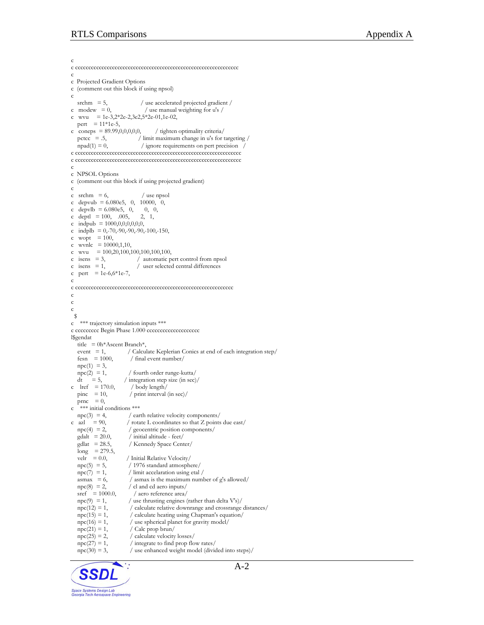c c cccccccccccccccccccccccccccccccccccccccccccccccccccccccccccccc c c Projected Gradient Options c (comment out this block if using npsol) c srchm = 5,  $/$  use accelerated projected gradient  $/$ c modew  $= 0$ , / use manual weighting for u's / c wvu =  $1e-3,2*2e-2,3e2,5*2e-01,1e-02$ , pert =  $11*1e-5$ , c coneps =  $89.99,0,0,0,0,$  / tighten optimality criteria/<br>pctcc = .5, / limit maximum change in u's for t / limit maximum change in u's for targeting /  $npad(1) = 0$ , / ignore requirements on pert precision c ccccccccccccccccccccccccccccccccccccccccccccccccccccccccccccccc c ccccccccccccccccccccccccccccccccccccccccccccccccccccccccccccccc c c NPSOL Options c (comment out this block if using projected gradient) c c srchm  $= 6$ ,  $/$  use npsol c depvub =  $6.080e5$ , 0, 10000, 0, c depvlb =  $6.080e5$ , 0, 0, 0, c deptl =  $100, 005, 2, 1,$ c indpub = 1000,0,0,0,0,0,0, c indplb = 0,-70,-90,-90,-90,-100,-150, c wopt  $= 100$ , c wvnlc  $= 10000, 1, 10,$ c wvu =  $100,20,100,100,100,100,100$ ,<br>c isens = 3, / automatic p / automatic pert control from npsol  $\text{c}$  isens = 1,  $\text{/}$  user selected central differences c pert = 1e-6,6\*1e-7, c c cccccccccccccccccccccccccccccccccccccccccccccccccccccccccccc c c c \$ c \*\*\* trajectory simulation inputs \*\*\* c ccccccccc Begin Phase 1.000 cccccccccccccccccc l\$gendat title =  $0h*$ Ascent Branch\*, event = 1, / Calculate Keplerian Conics at end of each integration step/  $fesn = 1000,$  / final event number/  $npc(1) = 3,$ <br> $npc(2) = 1,$  $\text{mpc}(2) = 1,$  / fourth order runge-kutta/<br>dt = 5, / integration step size (in sec)  $/$  integration step size (in sec) $/$ c lref = 170.0,  $\frac{\text{body length}}{\text{pinc}}$ <br>= 10,  $\frac{\text{point interval}}{\text{pinc}}$  $/$  print interval (in sec)/ prnc  $= 0$ , c \*\*\* initial conditions \*\*\*  $npc(3) = 4$ , / earth relative velocity components/ c azl = 90,  $\prime$  rotate L coordinates so that Z points due east/<br>npc(4) = 2,  $\prime$  geocentric position components/  $/$  geocentric position components/  $\text{gdalt}$  = 20.0,  $\text{/ initial altitude - feet/}$ <br>  $\text{gdlat}$  = 28.5,  $\text{/ Kennedy Space Cent}$ / Kennedy Space Center/  $long = 279.5,$ velr =  $0.0$ , / Initial Relative Velocity/<br>npc(5) = 5, / 1976 standard atmosph / 1976 standard atmosphere/  $npc(7) = 1$ , / limit accelaration using etal /  $\text{asmax} = 6,$  / asmax is the maximum number of g's allowed/  $npc(8) = 2,$  / cl and cd aero inputs/<br>sref = 1000.0, / aero reference area/ / aero reference area/  $npc(9) = 1$ , / use thrusting engines (rather than delta V's)/  $npc(12) = 1,$  / calculate relative downrange and crossrange distances/<br> $npc(15) = 1,$  / calculate heating using Chapman's equation/  $npc(15) = 1,$  / calculate heating using Chapman's equation/<br> $npc(16) = 1,$  / use spherical planet for gravity model/  $npc(16) = 1,$  / use spherical planet for gravity model/<br> $npc(21) = 1,$  / Calc prop brun/  $npc(21) = 1,$  / Calc prop brun/<br>  $npc(25) = 2,$  / calculate velocity / calculate velocity losses/  $npc(27) = 1,$  / integrate to find prop flow rates/<br> $npc(30) = 3,$  / use enhanced weight model (divide / use enhanced weight model (divided into steps)/

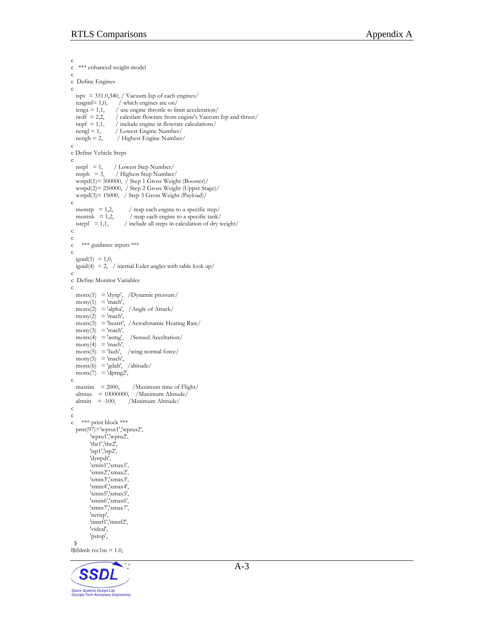```
c 
c *** enhanced weight model 
c 
c Define Engines 
c 
  ispv = 331.0,340, / Vacuum Isp of each engines/<br>iengmf= 1,0, / which engines are on/
                        / which engines are on/ienga = 1,1, / use engine throttle to limit acceleration/<br>iwdf = 2,2, / calculate flowrate from engine's Vaccum
                      / calculate flowrate from engine's Vaccum Isp and thrust/
  iwpf = 1,1, / include engine in flowrate calculations/<br>nengl = 1, / Lowest Engine Number/
  nengl = 1, / Lowest Engine Number/<br>nengh = 2, / Highest Engine Number
                       / Highest Engine Number/
c 
c Define Vehicle Steps 
c 
  nstpl = 1, / Lowest Step Number/<br>nstph = 3, / Highest Step Number
                     / Highest Step Number/
   wstpd(1)= 500000, / Step 1 Gross Weight (Booster)/ 
 wstpd(2)= 250000, / Step 2 Gross Weight (Upper Stage)/ 
 wstpd(3)= 15000, / Step 3 Gross Weight (Payload)/ 
c 
  menstp = 1,2, / map each engine to a specific step/<br>mentnk = 1,2, / map each engine to a specific tank/
  mentnk = 1,2, / map each engine to a specific tank/<br>istepf = 1,1, / include all steps in calculation of dry v
                           / include all steps in calculation of dry weight/c 
c 
c *** guidance inputs *** 
c 
  iguid(1) = 1, 0,iguid(4) = 2, / inertial Euler angles with table look up/
c 
c Define Monitor Variables 
c 
   monx(1) = 'dynp', /Dynamic pressure/ 
  mony(1) = 'mach',<br>monx(2) = 'alpha',
                            /Angle of Attack/
  mony(2) = 'mach',\text{max}(3) = 'heatrt', /Aerodynamic Heating Rate/
  mony(3) = 'mach',\text{monx}(4) = \text{'asmg'}, /Sensed Accelration/
  mony(4) = 'mach',<br>monx(5) = 'fazb',
                            /wing normal force/
  mony(5) = 'mach'.\text{monx}(6) = \text{lgdalt}, \text{ /altitude}\overrightarrow{m} monx(7) = 'dprng2',
c 
  maxtim = 2000, /Maximum time of Flight/
  altmax = 10000000, /Maximum Altitude/<br>altmin = -100, /Minimum Altitude/
                            /Minimum Altitude/
c 
c 
c *** print block *** 
   prnt(97)='wprus1','wprus2', 
          'wpru1','wpru2', 
          'thr1','thr2', 
          'isp1','isp2', 
          'dynpdt', 
          'xmin1','xmax1', 
          'xmin2','xmax2', 
          'xmin3','xmax3', 
          'xmin4','xmax4', 
          'xmin5','xmax5', 
 'xmin6','xmax6', 
 'xmin7','xmax7', 
          'netisp', 
          'timrf1','timrf2', 
          'videal', 
          'pstop', 
  $ 
l$tblmlt tvc1m = 1.0,
```
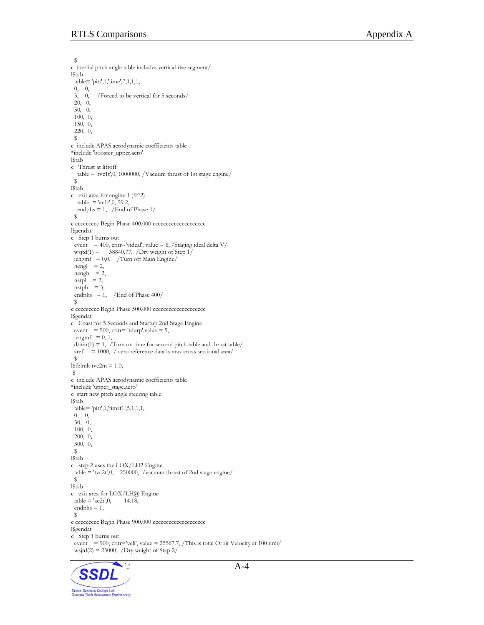\$ c inertial pitch angle table includes vertical rise segment/ l\$tab table= 'pitt',1,'time',7,1,1,1, 0, 0, 5, 0, /Forced to be vertical for 5 seconds/ 20, 0, 50, 0, 100, 0, 150, 0, 220, 0, \$ c include APAS aerodynamic coefficients table \*include 'booster\_upper.aero' l\$tab c Thrust at liftoff table = 'tvc1t',0, 1000000, /Vacuum thrust of 1st stage engine/ \$ l\$tab c exit area for engine 1 (ft^2)  $table = 'aelt', 0, 59.2,$ endphs = 1, /End of Phase  $1/$  \$ c ccccccccc Begin Phase 400.000 ccccccccccccccccccc l\$gendat c Step 1 burns out event = 400, critr='videal', value = 6, /Staging ideal delta  $V/$ wsjtd(1) = 38840.77, /Dry weight of Step  $1/$  $i$ engmf = 0,0, /Turn off Main Engine/  $n$ engl = 2,  $n$ engh = 2,  $nstpl = 2$ ,  $n$ stph = 3, endphs = 1, /End of Phase  $400/$  \$ c ccccccccc Begin Phase 500.000 cccccccccccccccccccc l\$gendat c Coast for 5 Seconds and Startup 2nd Stage Engine event = 500, critr= 'tdurp', value = 5,  $i$ engm $f = 0, 1$ ,  $\text{diam}(1) = 1$ , /Turn on time for second pitch table and thrust table/ sref = 1000, / aero reference data is max cross sectional area/ \$ l\$tblmlt tvc2m =  $1.0$ , \$ c include APAS aerodynamic coefficients table \*include 'upper\_stage.aero' c start new pitch angle steering table l\$tab table= 'pitt',1,'timrf1',5,1,1,1, 0, 0, 50, 0, 100, 0, 200, 0, 300, 0, \$ l\$tab c step 2 uses the LOX/LH2 Engine table = 'tvc2t',0, 250000, /vacuum thrust of 2nd stage engine/ \$ l\$tab c exit area for LOX/LH@ Engine  $table = 'ae2t', 0, 14.18,$  endphs = 1, \$ c ccccccccc Begin Phase 900.000 cccccccccccccccccccc l\$gendat c Step 1 burns out event = 900, critr='veli', value = 25567.7, /This is total Orbit Velocity at 100 nmi/ wsjtd $(2) = 25000$ , /Dry weight of Step 2/

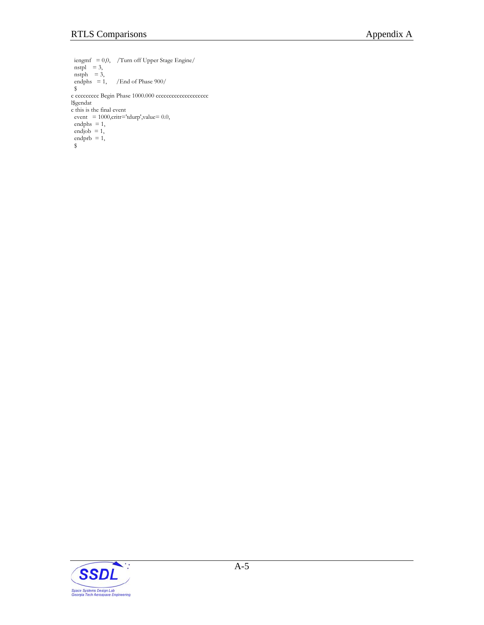iengmf = 0,0, /Turn off Upper Stage Engine/  $nstpl = 3$ , nstph  $= 3$ , endphs = 1, /End of Phase  $900/$  \$ c ccccccccc Begin Phase 1000.000 ccccccccccccccccccc l\$gendat c this is the final event  $\label{eq:1} \mbox{event}~= 1000, \mbox{critr} = \mbox{tdurp',} \mbox{value} = 0.0,$ endphs = 1,<br>endjob = 1, endjob  $= 1$ , endprb  $= 1$ , \$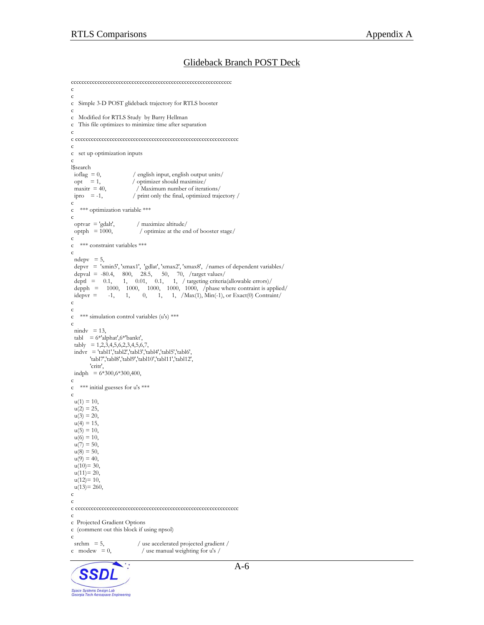Space Systems Design Lab<br>Georgia Tech Aerospace Engineering

#### Glideback Branch POST Deck

```
A-6
ccccccccccccccccccccccccccccccccccccccccccccccccccccccccccccc 
c 
c 
c Simple 3-D POST glideback trajectory for RTLS booster 
c 
c Modified for RTLS Study by Barry Hellman 
c This file optimizes to minimize time after separation 
c 
c cccccccccccccccccccccccccccccccccccccccccccccccccccccccccccccc 
c 
c set up optimization inputs 
c 
l$search 
 ioflag = 0, / english input, english output units/<br>opt = 1, / optimizer should maximize/
                         / optimizer should maximize/maxitr = 40, / Maximum number of iterations/
ipro = -1, / print only the final, optimized trajectory /
c 
c *** optimization variable *** 
c 
 optvar = 'gdalt', / maximize altitude/<br>optph = 1000, / optimize at the er
                            / optimize at the end of booster stage/
c 
c *** constraint variables *** 
c 
 ndepv = 5,
 depvr = 'xmin5', 'xmax1', 'gdlat', 'xmax2', 'xmax8', /names of dependent variables/ 
depval = -80.4, 800, 28.5, 50, 70, \text{/target values/}deptl = 0.1, 1, 0.01, 0.1, 1, / targeting criteria(allowable errors)/depph = 1000, 1000, 1000, 1000, 1000, /phase where contraint is applied/idepvr = -1, 1, 0, 1, 1, /Max(1), Min(-1), or Exact(0) Contraint/
c 
c 
   *** simulation control variables (u's) ***
c 
 nixdv = 13,
 tabl = 6*'alphat',6*'bankt',
 tably = 1,2,3,4,5,6,2,3,4,5,6,7,
 indvr = 'tabl1','tabl2','tabl3','tabl4','tabl5','tabl6',
        'tabl7','tabl8','tabl9','tabl10','tabl11','tabl12', 
        'critr', 
\text{indph} = 6*300,6*300,400,c 
c *** initial guesses for u's *** 
c 
u(1) = 10,
 u(2) = 25,
 u(3) = 20,
 u(4) = 15,
 u(5) = 10,
 u(6) = 10,
 u(7) = 50,
 u(8) = 50,u(9) = 40,
 u(10)=30,
 u(11)=20,
 u(12)=10,
 u(13)=260,c 
c 
c cccccccccccccccccccccccccccccccccccccccccccccccccccccccccccccc 
c 
c Projected Gradient Options 
c (comment out this block if using npsol) 
c<br>srchm = 5,
srchm = 5, \ell use accelerated projected gradient / c modew = 0, \ell use manual weighting for u's /
                             / use manual weighting for u's / \,
```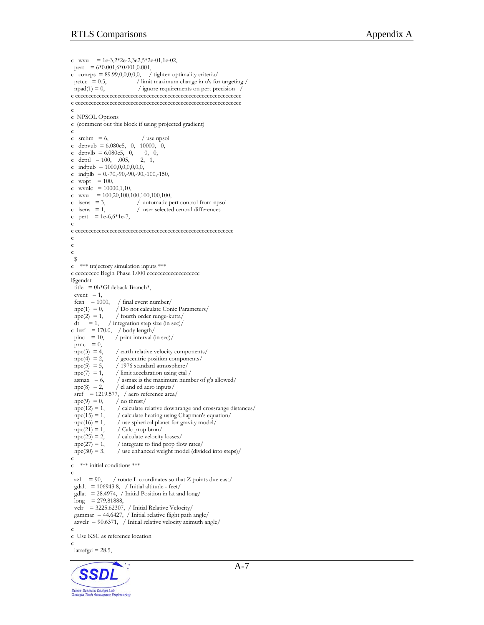```
c wvu = 1e-3,2*2e-2,3e2,5*2e-01,1e-02,pert = 6*0.001,6*0.001,0.001,
c coneps = 89.99,0,0,0,0,0, / tighten optimality criteria/<br>pctcc = 0.5, / limit maximum change in u's fo
 pctcc = 0.5, / limit maximum change in u's for targeting / npad(1) = 0, / ignore requirements on pert precision /
                                    / ignore requirements on pert precision
\begin{aligned} c\text{c}cc\text{c}cc\text{c}cc\text{c}cc\text{c}cc\text{c}cc\text{c}cc\text{c}cc\text{c}cc\text{c}cc\text{c}cc\text{c}cc\text{c}cc\text{c}cc\text{c}cc\text{c}cc\text{c}cc\text{c}cc\text{c}cc\text{c}cc\text{c}cc\text{c}cc\text{c}cc\text{c}cc\text{c}cc\text{c}cc\text{c}cc\text{c}cc\text{c}cc\text{c}cc\text{c}cc\text{c}cc\text{c}cc\text{c}cc\text{c}cc\text{cc ccccccccccccccccccccccccccccccccccccccccccccccccccccccccccccccc 
c 
c NPSOL Options 
c (comment out this block if using projected gradient) 
c 
c srchm = 6, / use npsol
c depvub = 6.080e5, 0, 10000, 0,
c depvlb = 6.080e5, 0, 0, 0, 0, c deptl = 100, .005, 2, 1,
c deptl = 100, 005,c indpub = 1000,0,0,0,0,0,0, 
c indplb = 0,-70,-90,-90,-90,-100,-150,
c wopt = 100,
c wvnlc = 10000, 1, 10,
c wvu = 100,20,100,100,100,100,100,c isens = 3, / automatic pert control from npsol<br>c isens = 1, / user selected central differences
                                    / user selected central differences
c pert = 1e-6,6*1e-7,
c 
c cccccccccccccccccccccccccccccccccccccccccccccccccccccccccccc 
c 
c 
c 
  $ 
c *** trajectory simulation inputs *** 
c ccccccccc Begin Phase 1.000 cccccccccccccccccccc
l$gendat 
 title = 0h*Glideback Branch*,
 event = 1,
 fesn = 1000, / final event number/<br>npc(1) = 0, / Do not calculate Con
                        / Do not calculate Conic Parameters/
 npc(2) = 1, / fourth order runge-kutta/<br>dt = 1, / integration step size (in sec)/
                    / integration step size (in sec)/
c lref = 170.0, / body length/<br>pinc = 10, / print interval (i)
                       / print interval (in sec)/prnc = 0,
 npc(3) = 4, / earth relative velocity components/<br>npc(4) = 2, / geocentric position components/
                        / geocentric position components/
 npc(5) = 5, / 1976 standard atmosphere/<br>
npc(7) = 1, / limit accelaration using etal
                        / limit accelaration using etal /
 \text{asmax} = 6, / asmax is the maximum number of g's allowed/
 npc(8) = 2, / cl and cd aero inputs/
 \text{sref} = 1219.577, / aero reference area/
 npc(9) = 0, / no thrust/<br>npc(12) = 1, / calculate 1
 npc(12) = 1, / calculate relative downrange and crossrange distances/<br>npc(15) = 1, / calculate heating using Chapman's equation/
                         / calculate heating using Chapman's equation/
 npc(16) = 1, / use spherical planet for gravity model/<br>npc(21) = 1, / Calc prop brun/
                         / Calc prop brun/
 npc(25) = 2, / calculate velocity losses/<br>npc(27) = 1, / integrate to find prop flo
 npc(27) = 1, / integrate to find prop flow rates/<br>npc(30) = 3, / use enhanced weight model (divides)
                         / use enhanced weight model (divided into steps)/c 
c *** initial conditions *** 
c 
 azl = 90, \ell rotate L coordinates so that Z points due east/
 \text{gdalt} = 106943.8, / Initial altitude - feet/
 \text{gdlat} = 28.4974, / Initial Position in lat and long/
 long = 279.81888.velr = 3225.62307, / Initial Relative Velocity/
 gammar = 44.6427, / Initial relative flight path angle/
 azvelr = 90.6371, / Initial relative velocity aximuth angle/
c 
c Use KSC as reference location 
c 
 lateral = 28.5,
```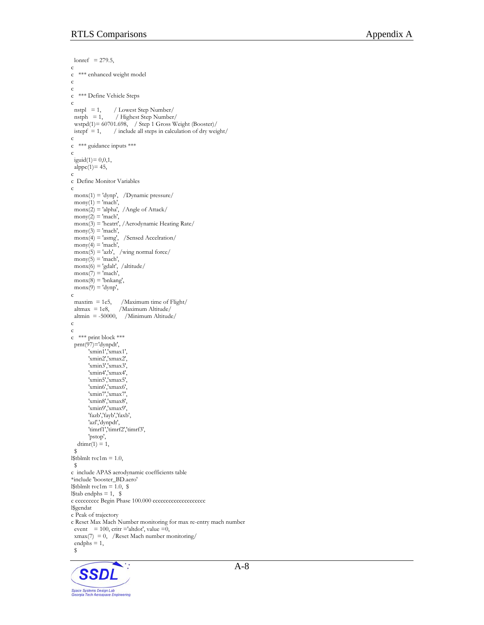```
lonref = 279.5,
c 
c *** enhanced weight model 
c 
c 
  *** Define Vehicle Steps
c 
 nstpl = 1, / Lowest Step Number/<br>nstph = 1, / Highest Step Number
                  / Highest Step Number/
  wstpd(1)= 60701.698, / Step 1 Gross Weight (Booster)/ 
 istepf = 1, / include all steps in calculation of dry weight/
c 
c *** guidance inputs *** 
c 
  iguid(1)= 0,0,1, 
 alppc(1)= 45,
c 
c Define Monitor Variables 
c 
  monx(1) = 'dynp', /Dynamic pressure/ 
 mony(1) = 'mach', monx(2) = 'alpha', /Angle of Attack/ 
 mony(2) = 'mach', monx(3) = 'heatrt', /Aerodynamic Heating Rate/ 
 mony(3) = 'mach',\text{monx}(4) = \text{'asmg'}, /Sensed Accelration/
 mony(4) = 'mach',\text{monx}(5) = \text{'azb'}, \text{ /wing normal force}mony(5) = 'mach',\text{monx}(6) = \text{'gdalt}', /\text{altitude}\text{monx}(7) = \text{'mach'},
 \text{monx}(8) = \text{bnkang},
 \text{monx}(9) = \text{dyp},
c 
 maxtim = 1e5, /Maximum time of Flight/<br>altmax = 1e8, /Maximum Altitude/
                   /Maximum Altitude/
 altmin = -50000, /Minimum Altitude/
c 
c 
c *** print block *** 
  prnt(97)='dynpdt', 
        'xmin1','xmax1', 
 'xmin2','xmax2', 
 'xmin3','xmax3', 
        'xmin4','xmax4', 
 'xmin5','xmax5', 
 'xmin6','xmax6', 
         'xmin7','xmax7', 
        'xmin8','xmax8', 
         'xmin9','xmax9', 
       'fazb','fayb','faxb',
        'azl','dynpdt', 
       'timrf1','timrf2','timrf3',
        'pstop', 
  \dim (1) = 1,
  $ 
l$tblmlt tvc1m = 1.0, 
  $ 
c include APAS aerodynamic coefficients table 
*include 'booster_BD.aero' 
l$tblmlt tvc1m = 1.0, $
l$tabendphs = 1, $c ccccccccc Begin Phase 100.000 cccccccccccccccccccc
l$gendat 
c Peak of trajectory 
c Reset Max Mach Number monitoring for max re-entry mach number 
 event = 100, critr ='altdot', value =0,
 xmax(7) = 0, /Reset Mach number monitoring/
 endphs = 1,
  $
```
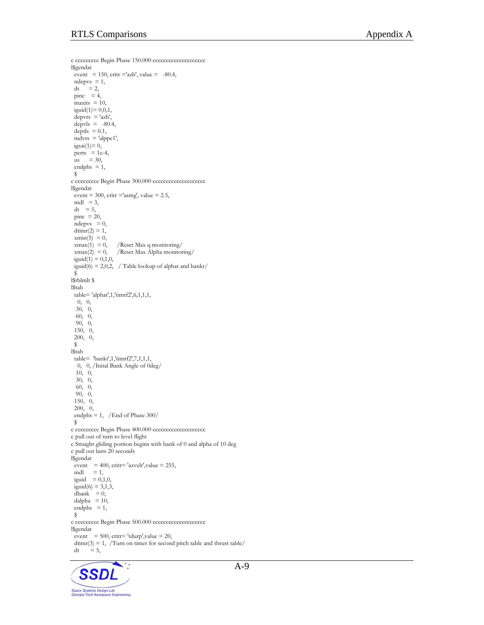```
c ccccccccc Begin Phase 150.000 ccccccccccccccccccc
l$gendat 
 event = 150, critr ='azb', value = -80.4,
 \label{eq:neps} \text{ndepvs } = 1,dt = 2,
\text{pinc} = 4,
 maxits = 10,
 iguid(1)= 0, 0, 1,depvrs = 'azb',depvls = -80.4,
 depth = 0.1,
 indurs = 'alppc1',igsai(1)=0,
perts = 1e-4,
 \sin = 30,
 endphs = 1,
  $ 
c ccccccccc Begin Phase 300.000 ccccccccccccccccccc
l$gendat 
 event = 300, critr ='asmg', value = 2.5,
mdl = 3,
 dt = 5,
 pinc = 20,
 ndepvs = 0,
 dtimr(2) = 1,
 xmin(5) = 0,
 xmax(1) = 0, /Reset Max q monitoring/<br>xmax(2) = 0, /Reset Max Alpha monitor
                   /Reset Max Alpha monitoring/
 iguid(1) = 0,1,0,iguid(6) = 2,0,2, / Table lookup of alphat and bankt/
 \tilde{s}l$tblmlt $ 
l$tab 
 table= 'alphat',1,'timrf2',6,1,1,1, 
   0, 0, 
  30, 0, 
  60, 0, 
  90, 0, 
  150, 0, 
  200, 0, 
  $ 
l$tab 
  table= 'bankt',1,'timrf2',7,1,1,1, 
   0, 0, /Inital Bank Angle of 0deg/ 
   10, 0, 
  30, 0, 
  60, 0, 
  90, 0, 
  150, 0, 
  200, 0, 
  endphs = 1, /End of Phase 300/ 
  $ 
c ccccccccc Begin Phase 400.000 ccccccccccccccccccc
c pull out of turn to level flight 
c Straight gliding portion begins with bank of 0 and alpha of 10 deg 
c pull out lasts 20 seconds 
l$gendat 
\text{event} = 400, \text{crit} = \text{'azvelr'}, \text{value} = 255,mdl = 1,
 iguid = 0,1,0,iguid(6) = 3,1,3,
 dbank = 0,
 dalpha = 10,
 endphs = 1,
  $ 
c ccccccccc Begin Phase 500.000 cccccccccccccccccccc 
l$gendat 
 event = 500, critr= 'tdurp', value = 20,
 dtimr(3) = 1, /Turn on timer for second pitch table and thrust table/<br>dt = 5,
       \dot{=} 5,
```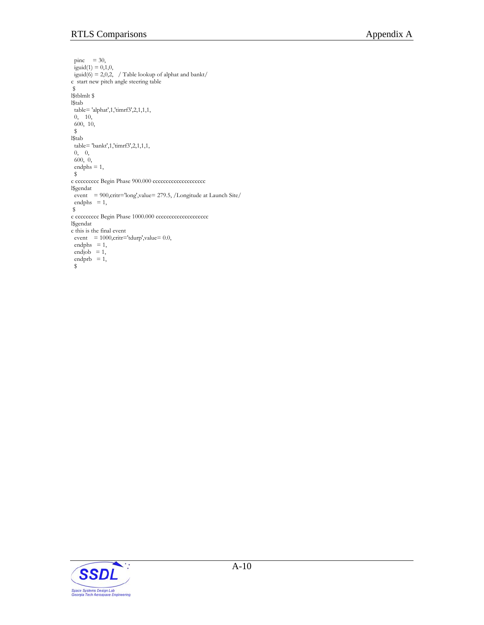```
pinc = 30,
iguid(1) = 0,1,0,iguid(6) = 2,0,2, / Table lookup of alphat and bankt/
c start new pitch angle steering table 
 $ 
l$tblmlt $ 
l$tab 
 table= 'alphat',1,'timrf3',2,1,1,1, 
 0, 10, 
 600, 10, 
 $ 
l$tab 
 table= 'bankt',1,'timrf3',2,1,1,1, 
 0, 0, 
 600, 0, 
 endphs = 1, 
 $ 
c ccccccccc Begin Phase 900.000 cccccccccccccccccccc 
l$gendat 
event = 900, critr='long', value= 279.5, /Longitude at Launch Site/
endphs = 1,
 $ 
c ccccccccc Begin Phase 1000.000 ccccccccccccccccccc
l$gendat 
c this is the final event 
event = 1000, critr = 'tdurp', value = 0.0,endphs = 1,
endjob = 1,
endprb = 1,
 $
```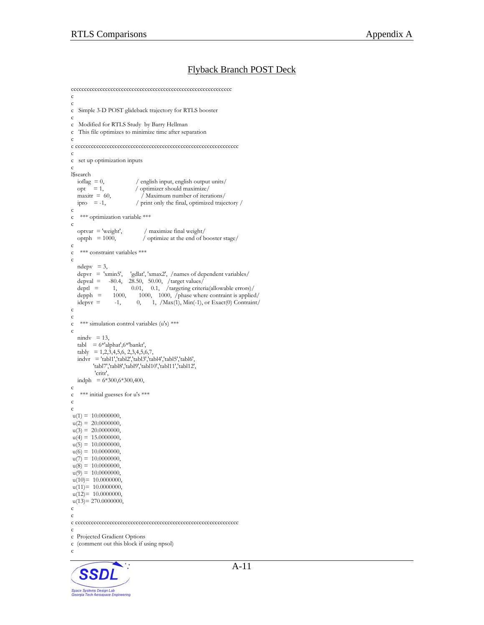#### Flyback Branch POST Deck

```
ccccccccccccccccccccccccccccccccccccccccccccccccccccccccccccc 
c 
c 
c Simple 3-D POST glideback trajectory for RTLS booster 
c 
c Modified for RTLS Study by Barry Hellman 
c This file optimizes to minimize time after separation 
c 
c cccccccccccccccccccccccccccccccccccccccccccccccccccccccccccccc 
c 
c set up optimization inputs 
c 
l$search<br>ioflag = 0,
                              / english input, english output units/
  opt = 1, / optimizer should maximize/<br>maxitr = 60, / Maximum number of itera
  maxitr = 60, \hat{j} Maximum number of iterations/<br>ipro = -1, \hat{j} print only the final, optimized traje
                              / print only the final, optimized trajectory /c 
    *** optimization variable ***
c<br>optvar = 'weight',
  optvar = 'weight', / maximize final weight/<br>optph = 1000, / optimize at the end of b
                                 / optimize at the end of booster stage/
c 
c *** constraint variables *** 
c 
  ndepv = 3,<br>depvr = 'xmin5',
   depvr = 'xmin5', 'gdlat', 'xmax2', /names of dependent variables/<br>depval = -80.4, 28.50, 50.00, /target values/
  depval = -80.4, 28.50, 50.00, /target values/<br>deptl = 1, 0.01, 0.1, /targeting criter
                   1, 0.01, 0.1, /targeting criteria(allowable errors)/
  depph = 1000, 1000, 1000, /phase where contraint is applied/<br>idepvr = -1, 0, 1, /Max(1), Min(-1), or Exact(0) Contraint/
                   i=1, \t 0, \t 1, /Max(1), Min(-1), or Exact(0) Contraint/c 
c 
c *** simulation control variables (u's) ***
c 
  nindv = 13,
  tabl = 6*'alphat', 6*'bankt',
   tably = 1,2,3,4,5,6,2,3,4,5,6,7,
  indvr = 'tabl1'; tabl2'; tabl3';tabl4';tabl5';tabl6'; 'tabl7','tabl8','tabl9','tabl10','tabl11','tabl12', 
          'critr',
  \text{indph} = 6*300,6*300,400,c 
c *** initial guesses for u's *** 
c 
c 
u(1) = 10.0000000,u(2) = 20.0000000u(3) = 20.0000000,u(4) = 15.0000000,u(5) = 10.0000000,
u(6) = 10.0000000,u(7) = 10.0000000,
u(8) = 10.0000000,u(9) = 10.0000000,u(10)= 10.0000000,u(11)= 10.0000000,u(12) = 10.0000000,
u(13)= 270.0000000,c 
c 
c cccccccccccccccccccccccccccccccccccccccccccccccccccccccccccccc 
c 
c Projected Gradient Options 
c (comment out this block if using npsol) 
c A-11
Space Systems Design Lab<br>Georgia Tech Aerospace Engineering
```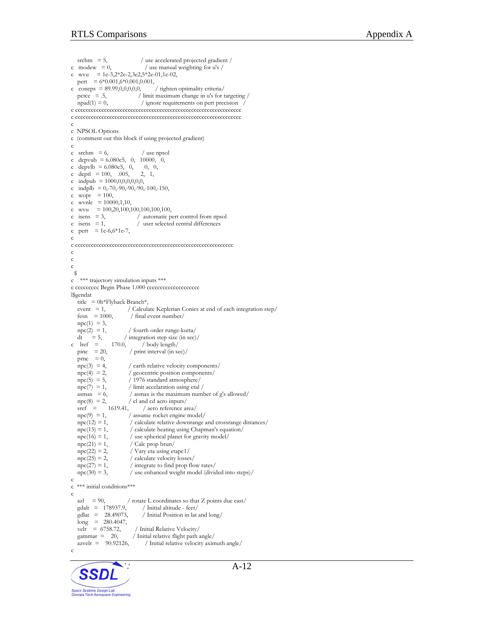srchm =  $5$ ,  $/$  use accelerated projected gradient  $/$ c modew  $= 0$ , / use manual weighting for u's / c wvu =  $1e-3,2*2e-2,3e2,5*2e-01,1e-02,$  pert = 6\*0.001,6\*0.001,0.001, c coneps =  $89.99,0,0,0,0,0,$  / tighten optimality criteria/  $\text{ptcc} = .5$ , / limit maximum change in u's for targeting /  $npad(1) = 0$ , / ignore requirements on pert precision / c ccccccccccccccccccccccccccccccccccccccccccccccccccccccccccccccc c ccccccccccccccccccccccccccccccccccccccccccccccccccccccccccccccc c c NPSOL Options c (comment out this block if using projected gradient) c c srchm  $= 6$ ,  $/$  use npsol c depvub =  $6.080e5$ , 0, 10000, 0, c depvlb =  $6.080e5$ , 0, 0, 0, c deptl =  $100, 005, 2, 1,$ c indpub = 1000,0,0,0,0,0,0, c indplb = 0,-70,-90,-90,-90,-100,-150, c wopt  $= 100$ , c wvnlc  $= 10000, 1, 10,$ c wvu  $= 100, 20, 100, 100, 100, 100, 100,$  $\begin{array}{rcl}\n\text{c} & \text{isens} & = 3, \\
\text{c} & \text{isens} & = 1, \\
\end{array}$  / automatic pert control from npsol  $/$  user selected central differences c pert =  $1e-6,6*1e-7$ , c c cccccccccccccccccccccccccccccccccccccccccccccccccccccccccccc c c c \$ c \*\*\* trajectory simulation inputs \*\*\* c ccccccccc Begin Phase 1.000 cccccccccccccccccccc l\$gendat title = 0h\*Flyback Branch\*,<br>event = 1, / Calcula / Calculate Keplerian Conics at end of each integration step/  $fesn = 1000$ , / final event number/  $\text{npc}(1) = 3$ ,  $npc(2) = 1,$  / fourth order runge-kutta/<br>dt = 5, / integration step size (in sec) dt = 5, / integration step size (in sec)/<br>c lref =  $170.0$ , / body length/ lref = 170.0, / body length/<br>pinc = 20, / print interval (in so / print interval (in sec)/ prnc = 0,<br>  $\text{npc}(3) = 4$ ,  $npc(3) = 4$ , / earth relative velocity components/<br> $npc(4) = 2$ , / geocentric position components/  $npc(4) = 2,$  / geocentric position components/<br> $npc(5) = 5,$  / 1976 standard atmosphere/ / 1976 standard atmosphere/  $npc(7) = 1,$  / limit accelaration using etal /<br>asmax = 6, / asmax is the maximum numl  $/$  asmax is the maximum number of g's allowed/  $npc(8) = 2$ , / cl and cd aero inputs/<br>sref = 1619.41, / aero reference as sref = 1619.41, / aero reference area/<br>npc(9) = 1, / assume rocket engine mod  $/$  assume rocket engine model/  $npc(12) = 1,$  / calculate relative downrange and crossrange distances/<br> $npc(15) = 1,$  / calculate heating using Chapman's equation/ / calculate heating using Chapman's equation/  $npc(16) = 1,$  / use spherical planet for gravity model/<br> $npc(21) = 1,$  / Calc prop brun/  $npc(21) = 1,$  / Calc prop brun/<br>  $npc(22) = 2,$  / Vary eta using eta / Vary eta using etapc1/  $npc(25) = 2$ , / calculate velocity losses/<br> $npc(27) = 1$ , / integrate to find prop flo  $/$  integrate to find prop flow rates/  $npc(30) = 3$ , / use enhanced weight model (divided into steps)/ c c \*\*\* initial conditions\*\*\* c azl = 90,  $\prime$  rotate L coordinates so that Z points due east/<br>gdalt = 178937.9,  $\prime$  Initial altitude - feet/ / Initial altitude - feet/  $\text{gdlat} = 28.49073$ , / Initial Position in lat and long/ long = 280.4047,<br>velr = 6758.72, velr = 6758.72, / Initial Relative Velocity/<br>gammar = 20, / Initial relative flight path / Initial relative flight path angle/  $a$ zvelr = 90.92126, / Initial relative velocity aximuth angle/ c

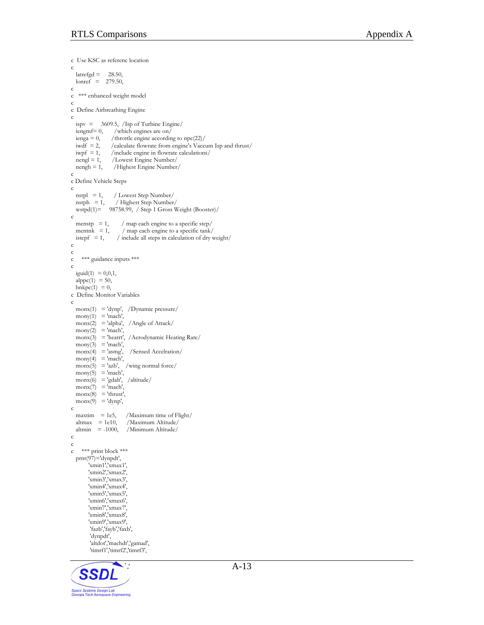```
c Use KSC as referenc location 
c 
  lateral = 28.50,
  lonref = 279.50,
c 
  *** enhanced weight model
c 
c Define Airbreathing Engine 
c 
  ispv = 3609.5, /Isp of Turbine Engine/<br>iengmf= 0, /which engines are on/
  iengmf= 0, /which engines are on/<br>ienga = 0, /throttle engine accordin
                   /throttle engine according to npc(22)/
  iwdf = 2, /calculate flowrate from engine's Vaccum Isp and thrust/<br>iwpf = 1, /include engine in flowrate calculations/
  iwpf = 1, /include engine in flowrate calculations/<br>nengl = 1, /Lowest Engine Number/
  nengl = 1, /Lowest Engine Number/<br>nengh = 1, /Highest Engine Number
                    /Highest Engine Number/
c 
c Define Vehicle Steps 
c 
  nstpl = 1, / Lowest Step Number/<br>
nstph = 1, / Highest Step Number
                    / Highest Step Number/
   wstpd(1)= 98758.99, / Step 1 Gross Weight (Booster)/ 
c<br>
menstp = 1,
                        / map each engine to a specific step/
  mentnk = 1, / map each engine to a specific tank/<br>istepf = 1, / include all steps in calculation of dry v
                      / include all steps in calculation of dry weight/c 
c 
c *** guidance inputs *** 
c 
  iguid(1) = 0,0,1,
  alppc(1) = 50,
  bnkpc(1) = 0,
c Define Monitor Variables 
c 
   monx(1) = 'dynp', /Dynamic pressure/ 
  mony(1) = 'mach',monx(2) = 'alpha', /Angle of Attack/
  mony(2) = 'mach',\text{max}(3) = 'heatrt', /Aerodynamic Heating Rate/
  \text{mony}(3) = \text{'mach}',
  \text{max}(4) = 'asmg', /Sensed Accelration/
  mony(4) = 'mach'.\text{max}(5) = 'azb', /wing normal force/
  mony(5) = 'mach',\text{monx}(6) = \text{'gdalt}', \text{ /altitude}\text{monx}(7) = \text{'mach'},
  \text{monx}(8) = \text{'thrust'.}\text{monx}(9) = 'dynp',\frac{c}{\text{maximum}} = 1e5./Maximum time of Flight/
  altmax = 1e10, /Maximum Altitude/<br>altmin = -1000, /Minimum Altitude/
                          /Minimum Altitude/
c 
c 
c *** print block *** 
   prnt(97)='dynpdt', 
         'xmin1','xmax1', 
         'xmin2','xmax2', 
         'xmin3','xmax3', 
         'xmin4','xmax4', 
         'xmin5','xmax5', 
 'xmin6','xmax6', 
 'xmin7','xmax7', 
         'xmin8','xmax8', 
         'xmin9','xmax9', 
         'fazb','fayb','faxb',
         'dynpdt',
          'altdot','machdt','gamad', 
          'timrf1','timrf2','timrf3',
```
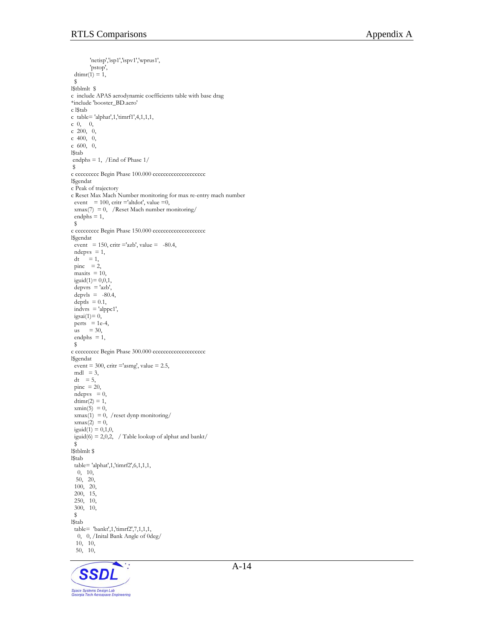```
 'netisp','isp1','ispv1','wprus1', 
        'pstop', 
 d\text{timr}(1) = 1,
  $ 
l$tblmlt $ 
c include APAS aerodynamic coefficients table with base drag 
*include 'booster_BD.aero' 
c l$tab 
c table= 'alphat',1,'timrf1',4,1,1,1, 
c 0, 0, 
c 200, 0, 
c 400, 0, 
c 600, 0, 
l$tab 
 endphs = 1, /End of Phase 1/ 
 $ 
c ccccccccc Begin Phase 100.000 cccccccccccccccccc
l$gendat 
c Peak of trajectory 
c Reset Max Mach Number monitoring for max re-entry mach number 
event = 100, critr ='altdot', value =0,
 xmax(7) = 0, /Reset Mach number monitoring/
 endphs = 1,
  $ 
c ccccccccc Begin Phase 150.000 ccccccccccccccccccc
l$gendat 
 event = 150, critr ='azb', value = -80.4,
 ndepvs = 1,
dt = 1,
\text{pinc} = 2,
maxits = 10,
 iguid(1)= 0, 0, 1,depvrs = 'azb',\text{depvis} = -80.4,deptls = 0.1,
 indurs = 'alppc1',igsai(1)=0,perts = 1e-4,
 \[\text{us} = 30, \]endphs = 1,
  $ 
c ccccccccc Begin Phase 300.000 cccccccccccccccccccc 
l$gendat 
event = 300, critr ='asmg', value = 2.5,
 mdl = 3,
 dt = 5,
 pinc = 20,
 ndepvs = 0,
 dtimr(2) = 1,
 xmin(5) = 0,
 xmax(1) = 0, /reset dynp monitoring/
 xmax(2) = 0,
 iguid(1) = 0,1,0,iguid(6) = 2,0,2, / Table lookup of alphat and bankt/
 \tilde{\mathbf{s}}l$tblmlt $ 
l$tab 
 table= 'alphat',1,'timrf2',6,1,1,1, 
   0, 10, 
  50, 20, 
  100, 20, 
  200, 15, 
  250, 10, 
  300, 10, 
  $ 
l$tab 
  table= 'bankt',1,'timrf2',7,1,1,1, 
  0, 0, /Inital Bank Angle of 0deg/ 
   10, 10, 
  50, 10,
```
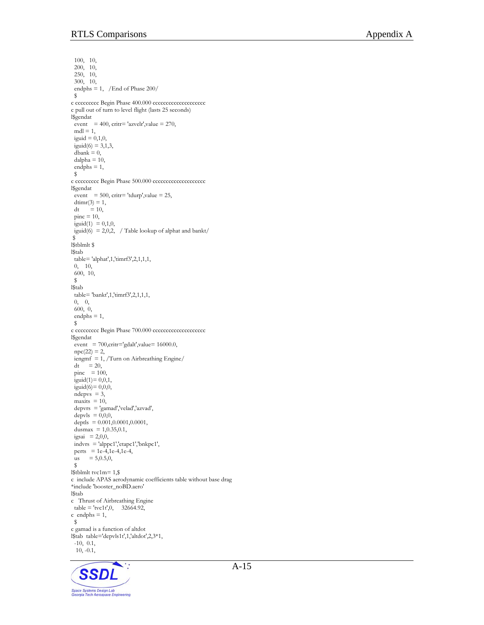100, 10, 200, 10, 250, 10, 300, 10, endphs = 1, /End of Phase 200/ \$ c ccccccccc Begin Phase 400.000 cccccccccccccccccccc c pull out of turn to level flight (lasts 25 seconds) l\$gendat event = 400, critr= 'azvelr', value = 270,  $mdl = 1$ , iguid =  $0,1,0$ ,  $i$ guid(6) = 3,1,3,  $dbank = 0$ ,  $d$ alpha = 10, endphs  $= 1$ , \$ c ccccccccc Begin Phase 500.000 ccccccccccccccccccc l\$gendat  $event = 500$ ,  $critr = 'tdurp', value = 25$ ,  $d\text{timr}(3) = 1$ ,  $dt = 10$ ,  $\text{pinc} = 10$ , iguid $(1) = 0,1,0,$ iguid(6) = 2,0,2, / Table lookup of alphat and bankt/ \$ l\$tblmlt \$ l\$tab table= 'alphat',1,'timrf3',2,1,1,1, 0, 10, 600, 10, \$ l\$tab table= 'bankt',1,'timrf3',2,1,1,1, 0, 0,  $600, 0,$  endphs = 1,  $\mathsf{s}$ c ccccccccc Begin Phase 700.000 ccccccccccccccccccc l\$gendat event = 700, critr='gdalt', value=  $16000.0$ ,  $npc(22) = 2$ ,  $i$ engmf = 1, /Turn on Airbreathing Engine/  $dt$  = 20, pinc  $= 100$ ,  $i$ guid $(1) = 0, 0, 1,$ iguid $(6)$ = 0,0,0,  $ndepvs = 3$ ,  $maxits = 10$ , depvrs = 'gamad','velad','azvad',  $\text{depvis} = 0,0,0,$ deptls =  $0.001, 0.0001, 0.0001,$ dusmax =  $1,0.35,0.1$ , igsai =  $2,0,0$ , indvrs = 'alppc1','etapc1','bnkpc1', perts =  $1e^{-4}$ , 1e-4, 1e-4,  $us = 5,0.5,0,$  $\mathsf{s}$ l\$tblmlt tvc1m= 1,\$ c include APAS aerodynamic coefficients table without base drag \*include 'booster\_noBD.aero' l\$tab c Thrust of Airbreathing Engine  $table = 'tvc1t',0, 32664.92,$  $c$  endphs = 1, \$ c gamad is a function of altdot l\$tab table='depvls1t',1,'altdot',2,3\*1, -10, 0.1, 10, -0.1,

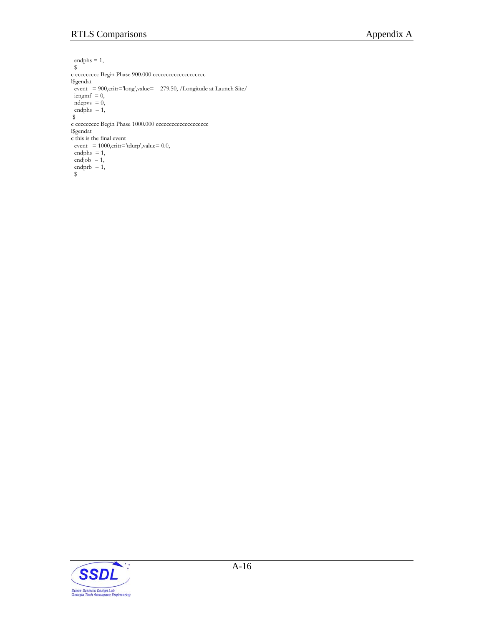endphs = 1,  $\mathbb S$ c ccccccccc Begin Phase 900.000 cccccccccccccccccccc l\$gendat event = 900, critr='long', value= 279.50, /Longitude at Launch Site/  $i$ engm $f = 0$ ,  $ndepvs = 0$ , endphs  $= 1$ , \$ c ccccccccc Begin Phase 1000.000 ccccccccccccccccccc l\$gendat c this is the final event  $event = 1000, critr = 'tdurp', value = 0.0,$ endphs  $= 1$ , endjob  $= 1$ , endprb  $= 1$ , \$

A-16

٠.

**SSDL** 

Space Systems Design Lab<br>Georgia Tech Aerospace Engineering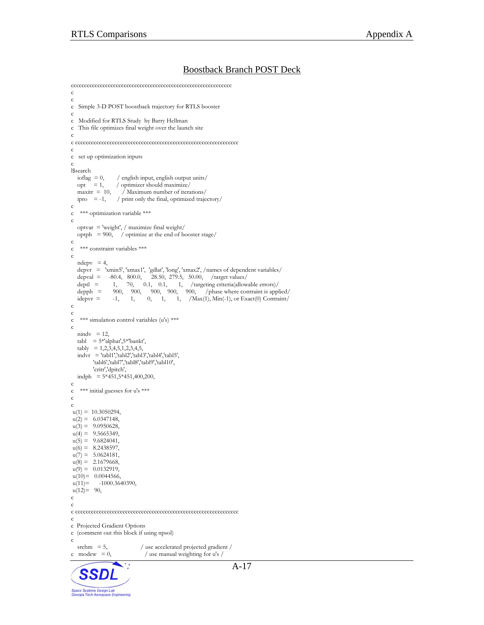#### Boostback Branch POST Deck

```
ccccccccccccccccccccccccccccccccccccccccccccccccccccccccccccc 
c 
c 
c Simple 3-D POST boostback trajectory for RTLS booster 
c 
c Modified for RTLS Study by Barry Hellman 
c This file optimizes final weight over the launch site 
c 
c cccccccccccccccccccccccccccccccccccccccccccccccccccccccccccccc 
c 
c set up optimization inputs 
c 
\begin{aligned} &\text{18search} \\ &\text{ioflag}\ = 0, \end{aligned}/ english input, english output units/
  opt = 1, / optimizer should maximize/<br>maxitr = 10, / Maximum number of itera
                     \overline{\phantom{a}} Maximum number of iterations/
  ipro = -1, / print only the final, optimized trajectory/
c 
c *** optimization variable *** 
c 
   optvar = 'weight', / maximize final weight/ 
    optph = 900, / optimize at the end of booster stage/ 
c 
c *** constraint variables *** 
c 
  ndepv = 4,
    depvr = 'xmin5', 'xmax1', 'gdlat', 'long', 'xmax2', /names of dependent variables/ 
  depval = -80.4, 800.0, 28.50, 279.5, 50.00, /target values/<br>deptl = -1, 70, 0.1, 0.1, 1, /targeting criteria(allow
deptl = 1, 70, 0.1, 0.1, 1, /targeting criteria(allowable errors) /depph = 900, 900, 900, 900, 900, /phase where contraint is applied/
idepvr = -1, 1, 0, 1, 1, /Max(1), Min(-1), or Exact(0) Contraint/
c 
c 
c *** simulation control variables (u's) *** 
c 
  nindv = 12,
  tabl = 5*'alphat', 5*'bankt',tably = 1,2,\overline{3},4,5,\overline{1},2,3,4,5,indvr = 'tabl1', 'tabl2', 'tabl3', 'tabl4', 'tabl5', 'tabl6','tabl7','tabl8','tabl9','tabl10', 
          'critr','dpitch', 
   \text{indph} = 5*451,5*451,400,200,
c 
c *** initial guesses for u's *** 
c 
c 
u(1) = 10.3050294,u(2) = 6.0347148,u(3) = 9.0950628,u(4) = 9.5665349,u(5) = 9.6824041,u(6) = 8.2438597,u(7) = 5.0624181,u(8) = 2.1679668,u(9) = 0.0132919,u(10)= 0.0044566,u(11) = -1000.3640390,u(12)= 90,c 
c 
c cccccccccccccccccccccccccccccccccccccccccccccccccccccccccccccc 
c 
c Projected Gradient Options 
c (comment out this block if using npsol) 
c 
srchm = 5, \frac{1}{2} / use accelerated projected gradient / c modew = 0, \frac{1}{2} / use manual weighting for u's /
                                 / use manual weighting for u's /
                                                                        A-17
   SSD
Space Systems Design Lab<br>Georgia Tech Aerospace Engineering
```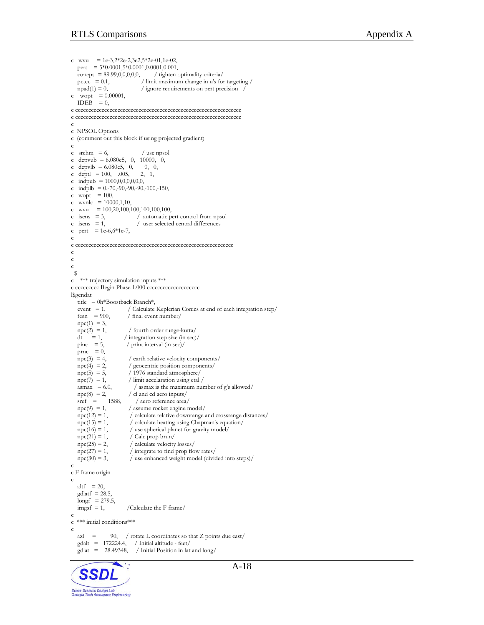Space Systems Design Lab<br>Georgia Tech Aerospace Engineering

```
A-18
c wvu = 1e-3,2*2e-2,3e2,5*2e-01,1e-02,pert = 5*0.0001,5*0.0001,0.0001,0.001,coneps = 89.99,0,0,0,0,0, / tighten optimality criteria/<br>pctcc = 0.1, / limit maximum change in u's fo
                                  / limit maximum change in u's for targeting /
  npad(1) = 0, / ignore requirements on pert precision
c wopt = 0.00001,
  IDEB = 0,
c ccccccccccccccccccccccccccccccccccccccccccccccccccccccccccccccc 
c ccccccccccccccccccccccccccccccccccccccccccccccccccccccccccccccc 
c 
c NPSOL Options 
c (comment out this block if using projected gradient) 
c 
c srchm = 6, / use npsol
c depvub = 6.080e5, 0, 10000, 0,
c depvlb = 6.080e5, 0, 0, 0,
c deptl = 100, 005, 2, 1,c indpub = 1000,0,0,0,0,0,0, 
c indplb = 0,-70,-90,-90,-90,-100,-150,
c wopt = 100,
c wvnlc = 10000, 1, 10,
c wvu = 100,20,100,100,100,100,100,\begin{array}{rcl}\n\text{c} & \text{isens} & = 3, \\
\text{c} & \text{isens} & = 1, \\
\end{array} / automatic pert control from npsol
                                 / user selected central differences
c pert = 1e-6,6*1e-7,
c 
c cccccccccccccccccccccccccccccccccccccccccccccccccccccccccccc 
c 
c 
c 
  $ 
c *** trajectory simulation inputs *** 
c ccccccccc Begin Phase 1.000 cccccccccccccccccccc
l$gendat 
   title = 0h*Boostback Branch*,<br>event = 1, / Calculate
   event = 1, \binom{2}{1} / Calculate Keplerian Conics at end of each integration step/<br>fesn = 900, \binom{2}{1} final event number/
                            / final event number/
  \text{npc}(1) = 3,
   npc(2) = 1, / fourth order runge-kutta/<br>dt = 1, / integration step size (in sec)
  dt = 1, / integration step size (in sec)/<br>pinc = 5, / print interval (in sec)/
                           / print interval (in sec)/
   prnc = 0,<br>
\text{npc}(3) = 4,
   npc(3) = 4, / earth relative velocity components/<br>npc(4) = 2, / geocentric position components/
   npc(4) = 2, / geocentric position components/<br>npc(5) = 5, / 1976 standard atmosphere/
   npc(5) = 5, / 1976 standard atmosphere/<br>
npc(7) = 1, / limit accelaration using etal
                            / limit accelaration using etal /
   asmax = 6.0, \frac{1}{2} / asmax is the maximum number of g's allowed/<br>npc(8) = 2, \frac{1}{2} / cl and cd aero inputs/
   npc(8) = 2, / cl and cd aero inputs/<br>sref = 1588, / aero reference area/
   sref = 1588, / aero reference area/<br>npc(9) = 1, / assume rocket engine n
   npc(9) = 1, / assume rocket engine model/<br>npc(12) = 1, / calculate relative downrange a
                             / calculate relative downrange and crossrange distances/
   npc(15) = 1, / calculate heating using Chapman's equation/<br>npc(16) = 1, / use spherical planet for gravity model/
                             / use spherical planet for gravity model/
  npc(21) = 1, / Calc prop brun/<br>npc(25) = 2, / calculate velocity
  npc(25) = 2, / calculate velocity losses/<br>npc(27) = 1, / integrate to find prop flo
                             / integrate to find prop flow rates/
   npc(30) = 3, / use enhanced weight model (divided into steps)/
c 
c F frame origin 
c 
  altf = 20,
   gdlatf = 28.5,
   longf = 279.5,
  irngsf = 1, /Calculate the F frame/
c 
c *** initial conditions*** 
c 
   azl = 90, / rotate L coordinates so that Z points due east/
   \text{gdalt} = 172224.4, / Initial altitude - feet/
   \text{gdlat} = 28.49348, / Initial Position in lat and long/
```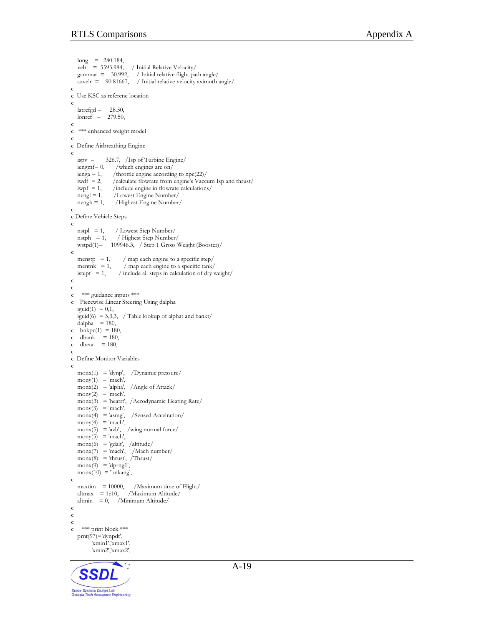```
 long = 280.184, 
    velr = 5593.984, / Initial Relative Velocity/ 
    gammar = 30.992, / Initial relative flight path angle/ 
   azvelr = 90.81667, / Initial relative velocity aximuth angle/
c 
c Use KSC as referenc location 
c 
   lateral = 28.50,
   lonref = 279.50,
c 
c *** enhanced weight model 
c 
c Define Airbreathing Engine 
c 
   ispv = 326.7, /Isp of Turbine Engine/<br>iengmf= 0, /which engines are on/
   iengmf= 0, /which engines are on/<br>ienga = 1, /throttle engine accordin
   ienga = 1, /throttle engine according to npc(22)/<br>iwdf = 2, /calculate flowrate from engine's Vacc
   iwdf = 2, /calculate flowrate from engine's Vaccum Isp and thrust/<br>iwpf = 1, /include engine in flowrate calculations/
                        /include engine in flowrate calculations/
   nengl = 1, /Lowest Engine Number/mengh = 1, Highest Engine Number/mengh = 1, Highest Engine Number/mengh = 1, Highest Engine Number/mengh = 1, Highest Engine Number/mengh = 1, Highest Engine Number/mengh = 1, Highest Engine Number/mengh = 1, Highest Engine Number/mengh = 1, Highest Engine Number/mengh = 1, Highest Engine Number/mengh = 1, Highest Engine Number/mengh = 1, Highest Engine Number/mengh = 1, Highest Engine Number/mengh = 1, Highest FramePrengh = 1, Highest FramePrengh = 1, Highest FramePrengh = 1, Highest FramePrengh = 1, Highest FramePrengh = /Highest Engine Number/
c 
c Define Vehicle Steps 
c 
    nstpl = 1, / Lowest Step Number/ 
 nstph = 1, / Highest Step Number/ 
wstpd(1)= 109946.3, / Step 1 Gross Weight (Booster)/
c 
   menstp = 1, / map each engine to a specific step/
   mentnk = 1, / map each engine to a specific tank/<br>istepf = 1, / include all steps in calculation of dry v
                          / include all steps in calculation of dry weight/c 
c 
c *** guidance inputs *** 
c Piecewise Linear Steering Using dalpha 
   iguid(1) = 0,1,
   iguid(6) = 3,3,3, / Table lookup of alphat and bankt/
   dalpha = 180,
c \bar{b}n kpc(1) = 180,
c dbank = 180,
c dbeta = 180,
c 
c Define Monitor Variables 
c 
   \text{monx}(1) = \text{'dynp}, \quad \text{/Dynamic pressure/}mony(1) = 'mach'.\text{monx}(2) = \text{'alpha}, /Angle of Attack/
   \text{mony}(2) = \text{'mach}'.\text{max}(3) = 'heatrt', /Aerodynamic Heating Rate/
   mony(3) = 'mach',\text{monx}(4) = \text{'asmg'}, /Sensed Accelration/
   mony(4) = 'mach',\text{monx}(5) = \text{'azb'}, \text{ /wing normal force}mony(5) = 'mach',\text{monx}(6) = \text{'gdalt}', /altitude/
   \text{monx}(7) = \text{'mach'}, /Mach number/
   \text{monx}(8) = \text{thrust}', \text{Thrust}'\text{max}(9) = \text{dprng1},
   \text{monx}(10) = \text{bnkang},
c 
    maxtim = 10000, /Maximum time of Flight/ 
   altmax = 1e10, /Maximum Altitude/
   altmin = 0, /Minimum Altitude/
c 
c 
c 
c *** print block *** 
    prnt(97)='dynpdt', 
            'xmin1','xmax1', 
            'xmin2','xmax2',
```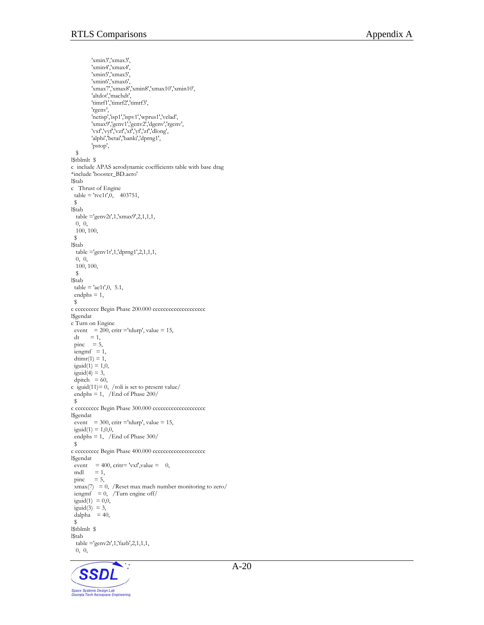'xmin3','xmax3', 'xmin4','xmax4', 'xmin5','xmax5', 'xmin6','xmax6', 'xmax7','xmax8','xmin8','xmax10','xmin10', 'altdot','machdt', 'timrf1','timrf2','timrf3', 'rgenv', 'netisp','isp1','ispv1','wprus1','velad', 'xmax9','genv1','genv2','dgenv','rgenv', 'vxf','vyf','vzf','xf','yf','zf','dlong', 'alphi','betai','banki','dprng1', 'pstop', \$ l\$tblmlt \$ c include APAS aerodynamic coefficients table with base drag \*include 'booster\_BD.aero' l\$tab c Thrust of Engine  $table = 'tvc1t', 0, 403751,$  \$ l\$tab table ='genv2t',1,'xmax9',2,1,1,1, 0, 0, 100, 100, \$ l\$tab table ='genv1t',1,'dprng1',2,1,1,1, 0, 0, 100, 100, \$ l\$tab  $table = 'aelt', 0, 5.1,$  $endphs = 1$ , \$ c ccccccccc Begin Phase 200.000 cccccccccccccccccccc l\$gendat c Turn on Engine event =  $200$ , critr ='tdurp', value = 15,  $dt = 1$ , pinc  $= 5$ ,  $i$ engm $f = 1$ ,  $\dim(r(1) = 1)$ , iguid $(1) = 1, 0$ ,  $i$ guid(4) = 3,  $\phi$  dpitch = 60, c iguid(11)=  $0, /$ roli is set to present value/ endphs = 1, /End of Phase  $200/$  \$ c ccccccccc Begin Phase 300.000 cccccccccccccccccccc l\$gendat event = 300, critr ='tdurp', value = 15,  $i$ guid $(1) = 1,0,0,$  endphs = 1, /End of Phase 300/ \$ c ccccccccc Begin Phase 400.000 ccccccccccccccccccc l\$gendat event = 400, critr= 'vxf', value = 0, mdl = 1,<br>pinc = 5,  $\pi$  $\frac{x}{x}$  xmax(7) = 0, /Reset max mach number monitoring to zero/  $i$ engmf = 0, /Turn engine off/ iguid $(1) = 0,0,$  $i$ guid(3) = 3, dalpha  $= 40$ , \$ l\$tblmlt \$ l\$tab table ='genv2t',1,'fazb',2,1,1,1, 0, 0,

**SSD** Space Systems Design Lab<br>Georgia Tech Aerospace Engineering A-20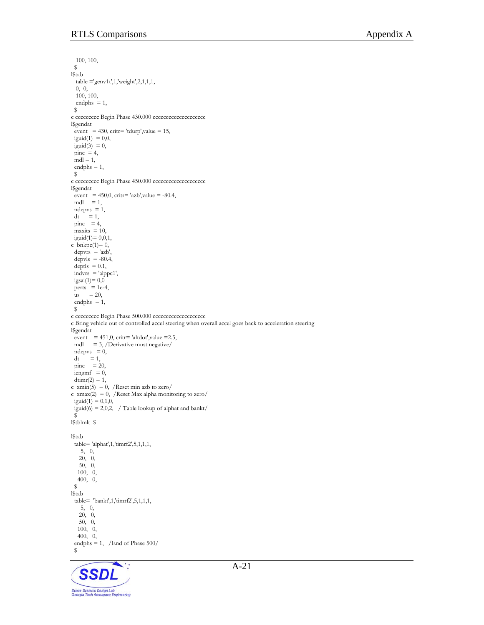100, 100, \$ l\$tab  $t$ able ='genv1t',1,'weight',2,1,1,1, 0, 0, 100, 100, endphs  $= 1$ , \$ c ccccccccc Begin Phase 430.000 ccccccccccccccccccc l\$gendat event = 430, critr= 'tdurp', value = 15, iguid $(1) = 0, 0,$ iguid(3) =  $0$ ,  $\bar{p}$ inc = 4,  $mdl = 1$ ,  $endphs = 1$ , \$ c ccccccccc Begin Phase 450.000 ccccccccccccccccccc l\$gendat event =  $450,0$ , critr= 'azb', value =  $-80.4$ ,  $mdl = 1$ ,  $n$ depvs = 1,  $dt = 1$ ,  $\text{pinc} = 4$ ,  $maxits = 10$ , iguid $(1)= 0, 0, 1,$ c bnkpc $(1)=0$ ,  $depurs = 'azb',$  $depvis = -80.4$ , deptls  $= 0.1$ ,  $indurs = 'alppc1',$ igsai $(1)=0,0$ perts  $= 1e-4$ ,  $\frac{1}{\text{us}}$  = 20, endphs  $= 1$ , \$ c ccccccccc Begin Phase 500.000 ccccccccccccccccccc c Bring vehicle out of controlled accel steering when overall accel goes back to acceleration steering l\$gendat event =  $451,0$ , critr= 'altdot', value = 2.5, mdl = 3, /Derivative must negative/  $n$ depvs =  $0$ ,  $dt = 1$ ,  $\text{pinc}$  = 20,  $i$ engmf = 0,  $\dim(r(2) = 1)$ , c xmin(5) = 0, /Reset min azb to zero/ c xmax(2) = 0, /Reset Max alpha monitoring to zero/ iguid $(1) = 0,1,0,$ iguid $(6)$  = 2,0,2, / Table lookup of alphat and bankt/ \$ l\$tblmlt \$ l\$tab table= 'alphat',1,'timrf2',5,1,1,1, 5, 0, 20, 0, 50, 0, 100, 0, 400, 0, \$ l\$tab table= 'bankt',1,'timrf2',5,1,1,1, 5, 0, 20, 0, 50, 0, 100, 0, 400, 0, endphs = 1, /End of Phase 500/  $\mathsf{s}$